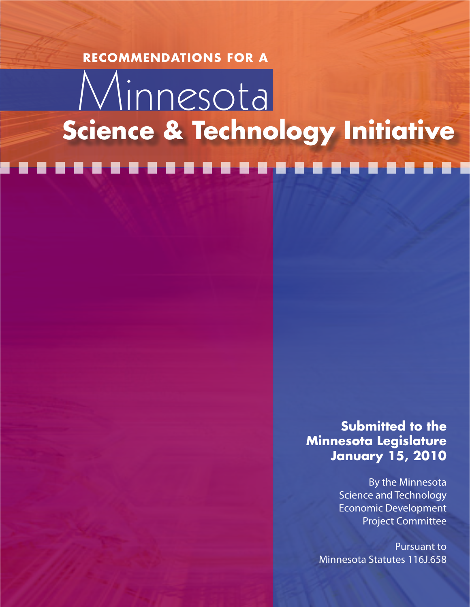# **RECOMMENDATIONS FOR A**

# **Science & Technology Initiative** Minnesota

# **Submitted to the Minnesota Legislature January 15, 2010**

By the Minnesota Science and Technology Economic Development Project Committee

Pursuant to Minnesota Statutes 116J.658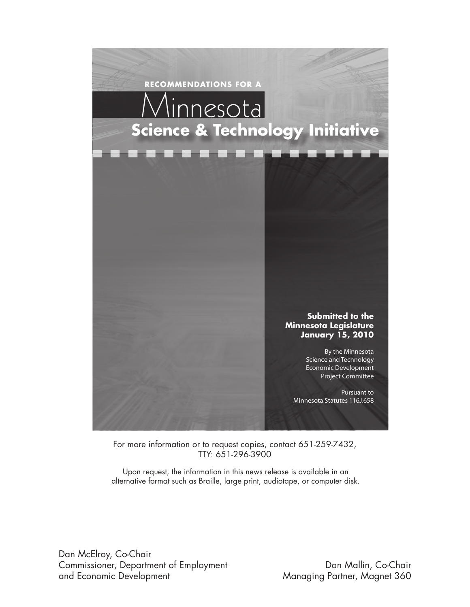

For more information or to request copies, contact 651-259-7432, TTY: 651-296-3900

Upon request, the information in this news release is available in an alternative format such as Braille, large print, audiotape, or computer disk.

Dan McElroy, Co-Chair Commissioner, Department of Employment and Economic Development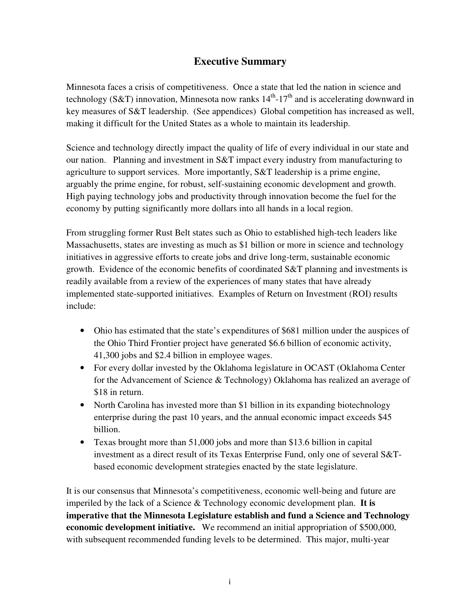## **Executive Summary**

Minnesota faces a crisis of competitiveness. Once a state that led the nation in science and technology (S&T) innovation, Minnesota now ranks  $14<sup>th</sup>$ -17<sup>th</sup> and is accelerating downward in key measures of S&T leadership. (See appendices) Global competition has increased as well, making it difficult for the United States as a whole to maintain its leadership.

Science and technology directly impact the quality of life of every individual in our state and our nation. Planning and investment in S&T impact every industry from manufacturing to agriculture to support services. More importantly, S&T leadership is a prime engine, arguably the prime engine, for robust, self-sustaining economic development and growth. High paying technology jobs and productivity through innovation become the fuel for the economy by putting significantly more dollars into all hands in a local region.

From struggling former Rust Belt states such as Ohio to established high-tech leaders like Massachusetts, states are investing as much as \$1 billion or more in science and technology initiatives in aggressive efforts to create jobs and drive long-term, sustainable economic growth. Evidence of the economic benefits of coordinated S&T planning and investments is readily available from a review of the experiences of many states that have already implemented state-supported initiatives. Examples of Return on Investment (ROI) results include:

- Ohio has estimated that the state's expenditures of \$681 million under the auspices of the Ohio Third Frontier project have generated \$6.6 billion of economic activity, 41,300 jobs and \$2.4 billion in employee wages.
- For every dollar invested by the Oklahoma legislature in OCAST (Oklahoma Center for the Advancement of Science & Technology) Oklahoma has realized an average of \$18 in return.
- North Carolina has invested more than \$1 billion in its expanding biotechnology enterprise during the past 10 years, and the annual economic impact exceeds \$45 billion.
- Texas brought more than 51,000 jobs and more than \$13.6 billion in capital investment as a direct result of its Texas Enterprise Fund, only one of several S&Tbased economic development strategies enacted by the state legislature.

It is our consensus that Minnesota's competitiveness, economic well-being and future are imperiled by the lack of a Science & Technology economic development plan. **It is imperative that the Minnesota Legislature establish and fund a Science and Technology economic development initiative.** We recommend an initial appropriation of \$500,000, with subsequent recommended funding levels to be determined. This major, multi-year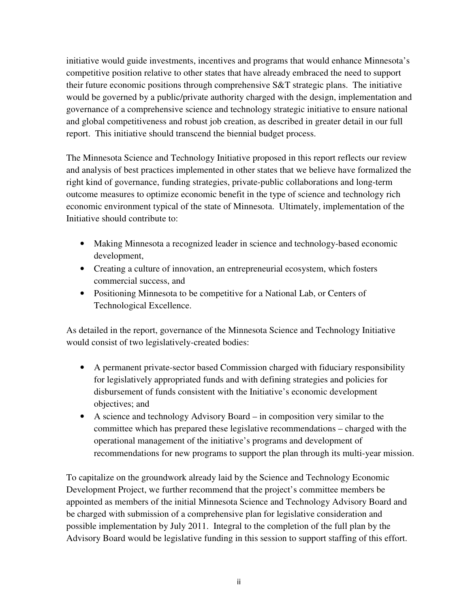initiative would guide investments, incentives and programs that would enhance Minnesota's competitive position relative to other states that have already embraced the need to support their future economic positions through comprehensive S&T strategic plans. The initiative would be governed by a public/private authority charged with the design, implementation and governance of a comprehensive science and technology strategic initiative to ensure national and global competitiveness and robust job creation, as described in greater detail in our full report. This initiative should transcend the biennial budget process.

The Minnesota Science and Technology Initiative proposed in this report reflects our review and analysis of best practices implemented in other states that we believe have formalized the right kind of governance, funding strategies, private-public collaborations and long-term outcome measures to optimize economic benefit in the type of science and technology rich economic environment typical of the state of Minnesota. Ultimately, implementation of the Initiative should contribute to:

- Making Minnesota a recognized leader in science and technology-based economic development,
- Creating a culture of innovation, an entrepreneurial ecosystem, which fosters commercial success, and
- Positioning Minnesota to be competitive for a National Lab, or Centers of Technological Excellence.

As detailed in the report, governance of the Minnesota Science and Technology Initiative would consist of two legislatively-created bodies:

- A permanent private-sector based Commission charged with fiduciary responsibility for legislatively appropriated funds and with defining strategies and policies for disbursement of funds consistent with the Initiative's economic development objectives; and
- A science and technology Advisory Board in composition very similar to the committee which has prepared these legislative recommendations – charged with the operational management of the initiative's programs and development of recommendations for new programs to support the plan through its multi-year mission.

To capitalize on the groundwork already laid by the Science and Technology Economic Development Project, we further recommend that the project's committee members be appointed as members of the initial Minnesota Science and Technology Advisory Board and be charged with submission of a comprehensive plan for legislative consideration and possible implementation by July 2011. Integral to the completion of the full plan by the Advisory Board would be legislative funding in this session to support staffing of this effort.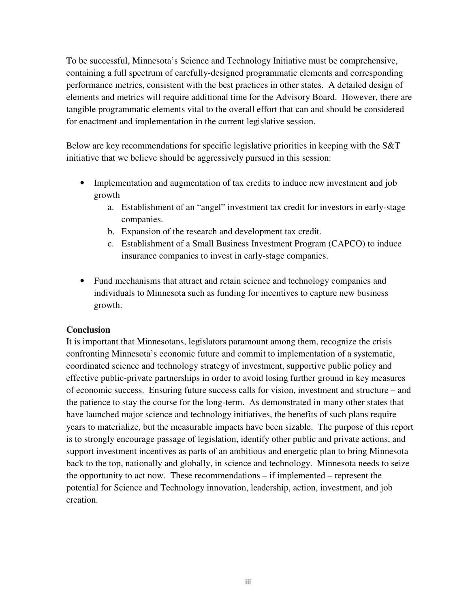To be successful, Minnesota's Science and Technology Initiative must be comprehensive, containing a full spectrum of carefully-designed programmatic elements and corresponding performance metrics, consistent with the best practices in other states. A detailed design of elements and metrics will require additional time for the Advisory Board. However, there are tangible programmatic elements vital to the overall effort that can and should be considered for enactment and implementation in the current legislative session.

Below are key recommendations for specific legislative priorities in keeping with the S&T initiative that we believe should be aggressively pursued in this session:

- Implementation and augmentation of tax credits to induce new investment and job growth
	- a. Establishment of an "angel" investment tax credit for investors in early-stage companies.
	- b. Expansion of the research and development tax credit.
	- c. Establishment of a Small Business Investment Program (CAPCO) to induce insurance companies to invest in early-stage companies.
- Fund mechanisms that attract and retain science and technology companies and individuals to Minnesota such as funding for incentives to capture new business growth.

### **Conclusion**

It is important that Minnesotans, legislators paramount among them, recognize the crisis confronting Minnesota's economic future and commit to implementation of a systematic, coordinated science and technology strategy of investment, supportive public policy and effective public-private partnerships in order to avoid losing further ground in key measures of economic success. Ensuring future success calls for vision, investment and structure – and the patience to stay the course for the long-term. As demonstrated in many other states that have launched major science and technology initiatives, the benefits of such plans require years to materialize, but the measurable impacts have been sizable. The purpose of this report is to strongly encourage passage of legislation, identify other public and private actions, and support investment incentives as parts of an ambitious and energetic plan to bring Minnesota back to the top, nationally and globally, in science and technology. Minnesota needs to seize the opportunity to act now. These recommendations – if implemented – represent the potential for Science and Technology innovation, leadership, action, investment, and job creation.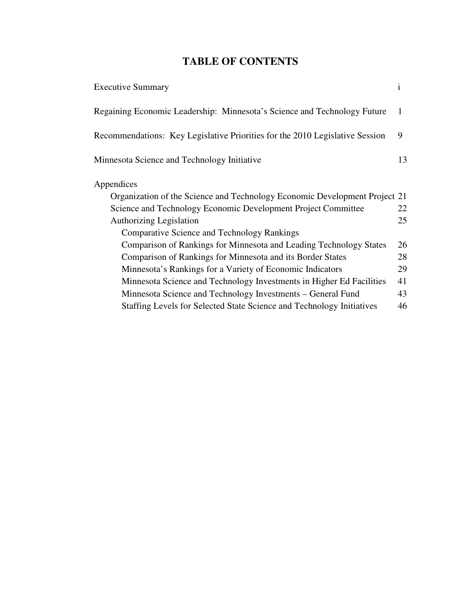# **TABLE OF CONTENTS**

| <b>Executive Summary</b>                                                     | 1  |
|------------------------------------------------------------------------------|----|
| Regaining Economic Leadership: Minnesota's Science and Technology Future     | 1  |
| Recommendations: Key Legislative Priorities for the 2010 Legislative Session | 9  |
| Minnesota Science and Technology Initiative                                  | 13 |
| Appendices                                                                   |    |
| Organization of the Science and Technology Economic Development Project 21   |    |
| Science and Technology Economic Development Project Committee                | 22 |
| <b>Authorizing Legislation</b>                                               | 25 |
| <b>Comparative Science and Technology Rankings</b>                           |    |
| Comparison of Rankings for Minnesota and Leading Technology States           | 26 |
| Comparison of Rankings for Minnesota and its Border States                   | 28 |
| Minnesota's Rankings for a Variety of Economic Indicators                    | 29 |
| Minnesota Science and Technology Investments in Higher Ed Facilities         | 41 |
| Minnesota Science and Technology Investments – General Fund                  | 43 |
| Staffing Levels for Selected State Science and Technology Initiatives        | 46 |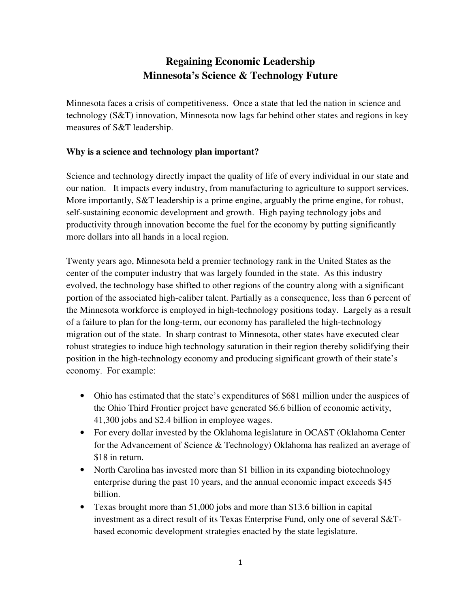# **Regaining Economic Leadership Minnesota's Science & Technology Future**

Minnesota faces a crisis of competitiveness. Once a state that led the nation in science and technology (S&T) innovation, Minnesota now lags far behind other states and regions in key measures of S&T leadership.

## **Why is a science and technology plan important?**

Science and technology directly impact the quality of life of every individual in our state and our nation. It impacts every industry, from manufacturing to agriculture to support services. More importantly, S&T leadership is a prime engine, arguably the prime engine, for robust, self-sustaining economic development and growth. High paying technology jobs and productivity through innovation become the fuel for the economy by putting significantly more dollars into all hands in a local region.

Twenty years ago, Minnesota held a premier technology rank in the United States as the center of the computer industry that was largely founded in the state. As this industry evolved, the technology base shifted to other regions of the country along with a significant portion of the associated high-caliber talent. Partially as a consequence, less than 6 percent of the Minnesota workforce is employed in high-technology positions today. Largely as a result of a failure to plan for the long-term, our economy has paralleled the high-technology migration out of the state. In sharp contrast to Minnesota, other states have executed clear robust strategies to induce high technology saturation in their region thereby solidifying their position in the high-technology economy and producing significant growth of their state's economy. For example:

- Ohio has estimated that the state's expenditures of \$681 million under the auspices of the Ohio Third Frontier project have generated \$6.6 billion of economic activity, 41,300 jobs and \$2.4 billion in employee wages.
- For every dollar invested by the Oklahoma legislature in OCAST (Oklahoma Center for the Advancement of Science & Technology) Oklahoma has realized an average of \$18 in return.
- North Carolina has invested more than \$1 billion in its expanding biotechnology enterprise during the past 10 years, and the annual economic impact exceeds \$45 billion.
- Texas brought more than 51,000 jobs and more than \$13.6 billion in capital investment as a direct result of its Texas Enterprise Fund, only one of several S&Tbased economic development strategies enacted by the state legislature.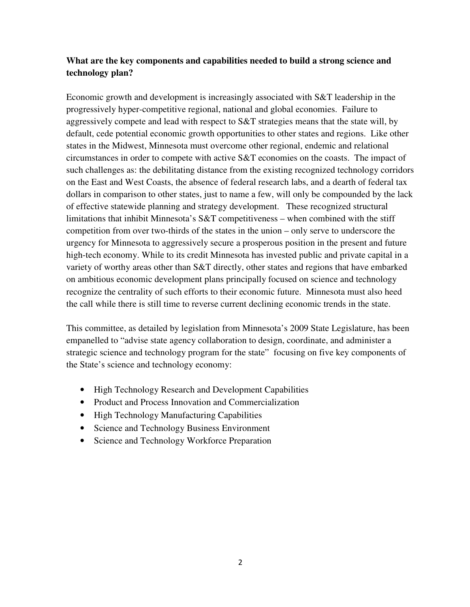## **What are the key components and capabilities needed to build a strong science and technology plan?**

Economic growth and development is increasingly associated with S&T leadership in the progressively hyper-competitive regional, national and global economies. Failure to aggressively compete and lead with respect to S&T strategies means that the state will, by default, cede potential economic growth opportunities to other states and regions. Like other states in the Midwest, Minnesota must overcome other regional, endemic and relational circumstances in order to compete with active S&T economies on the coasts. The impact of such challenges as: the debilitating distance from the existing recognized technology corridors on the East and West Coasts, the absence of federal research labs, and a dearth of federal tax dollars in comparison to other states, just to name a few, will only be compounded by the lack of effective statewide planning and strategy development. These recognized structural limitations that inhibit Minnesota's S&T competitiveness – when combined with the stiff competition from over two-thirds of the states in the union – only serve to underscore the urgency for Minnesota to aggressively secure a prosperous position in the present and future high-tech economy. While to its credit Minnesota has invested public and private capital in a variety of worthy areas other than S&T directly, other states and regions that have embarked on ambitious economic development plans principally focused on science and technology recognize the centrality of such efforts to their economic future. Minnesota must also heed the call while there is still time to reverse current declining economic trends in the state.

This committee, as detailed by legislation from Minnesota's 2009 State Legislature, has been empanelled to "advise state agency collaboration to design, coordinate, and administer a strategic science and technology program for the state" focusing on five key components of the State's science and technology economy:

- High Technology Research and Development Capabilities
- Product and Process Innovation and Commercialization
- High Technology Manufacturing Capabilities
- Science and Technology Business Environment
- Science and Technology Workforce Preparation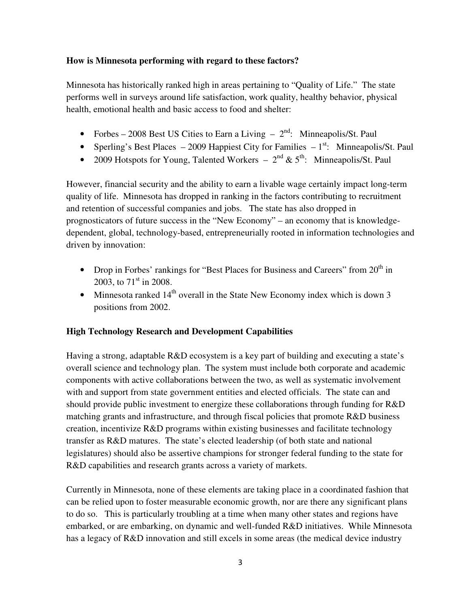#### **How is Minnesota performing with regard to these factors?**

Minnesota has historically ranked high in areas pertaining to "Quality of Life." The state performs well in surveys around life satisfaction, work quality, healthy behavior, physical health, emotional health and basic access to food and shelter:

- Forbes 2008 Best US Cities to Earn a Living  $2<sup>nd</sup>$ : Minneapolis/St. Paul
- Sperling's Best Places 2009 Happiest City for Families  $1<sup>st</sup>$ : Minneapolis/St. Paul
- 2009 Hotspots for Young, Talented Workers  $2<sup>nd</sup> \& 5<sup>th</sup>$ : Minneapolis/St. Paul

However, financial security and the ability to earn a livable wage certainly impact long-term quality of life. Minnesota has dropped in ranking in the factors contributing to recruitment and retention of successful companies and jobs. The state has also dropped in prognosticators of future success in the "New Economy" – an economy that is knowledgedependent, global, technology-based, entrepreneurially rooted in information technologies and driven by innovation:

- Drop in Forbes' rankings for "Best Places for Business and Careers" from  $20<sup>th</sup>$  in 2003, to  $71^{\text{st}}$  in 2008.
- Minnesota ranked  $14<sup>th</sup>$  overall in the State New Economy index which is down 3 positions from 2002.

### **High Technology Research and Development Capabilities**

Having a strong, adaptable R&D ecosystem is a key part of building and executing a state's overall science and technology plan. The system must include both corporate and academic components with active collaborations between the two, as well as systematic involvement with and support from state government entities and elected officials. The state can and should provide public investment to energize these collaborations through funding for R&D matching grants and infrastructure, and through fiscal policies that promote R&D business creation, incentivize R&D programs within existing businesses and facilitate technology transfer as R&D matures. The state's elected leadership (of both state and national legislatures) should also be assertive champions for stronger federal funding to the state for R&D capabilities and research grants across a variety of markets.

Currently in Minnesota, none of these elements are taking place in a coordinated fashion that can be relied upon to foster measurable economic growth, nor are there any significant plans to do so. This is particularly troubling at a time when many other states and regions have embarked, or are embarking, on dynamic and well-funded R&D initiatives. While Minnesota has a legacy of R&D innovation and still excels in some areas (the medical device industry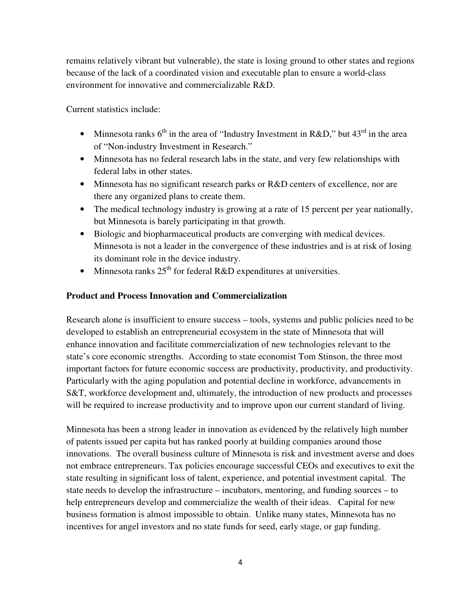remains relatively vibrant but vulnerable), the state is losing ground to other states and regions because of the lack of a coordinated vision and executable plan to ensure a world-class environment for innovative and commercializable R&D.

Current statistics include:

- Minnesota ranks  $6<sup>th</sup>$  in the area of "Industry Investment in R&D," but 43<sup>rd</sup> in the area of "Non-industry Investment in Research."
- Minnesota has no federal research labs in the state, and very few relationships with federal labs in other states.
- Minnesota has no significant research parks or R&D centers of excellence, nor are there any organized plans to create them.
- The medical technology industry is growing at a rate of 15 percent per year nationally, but Minnesota is barely participating in that growth.
- Biologic and biopharmaceutical products are converging with medical devices. Minnesota is not a leader in the convergence of these industries and is at risk of losing its dominant role in the device industry.
- Minnesota ranks  $25<sup>th</sup>$  for federal R&D expenditures at universities.

#### **Product and Process Innovation and Commercialization**

Research alone is insufficient to ensure success – tools, systems and public policies need to be developed to establish an entrepreneurial ecosystem in the state of Minnesota that will enhance innovation and facilitate commercialization of new technologies relevant to the state's core economic strengths. According to state economist Tom Stinson, the three most important factors for future economic success are productivity, productivity, and productivity. Particularly with the aging population and potential decline in workforce, advancements in S&T, workforce development and, ultimately, the introduction of new products and processes will be required to increase productivity and to improve upon our current standard of living.

Minnesota has been a strong leader in innovation as evidenced by the relatively high number of patents issued per capita but has ranked poorly at building companies around those innovations. The overall business culture of Minnesota is risk and investment averse and does not embrace entrepreneurs. Tax policies encourage successful CEOs and executives to exit the state resulting in significant loss of talent, experience, and potential investment capital. The state needs to develop the infrastructure – incubators, mentoring, and funding sources – to help entrepreneurs develop and commercialize the wealth of their ideas. Capital for new business formation is almost impossible to obtain. Unlike many states, Minnesota has no incentives for angel investors and no state funds for seed, early stage, or gap funding.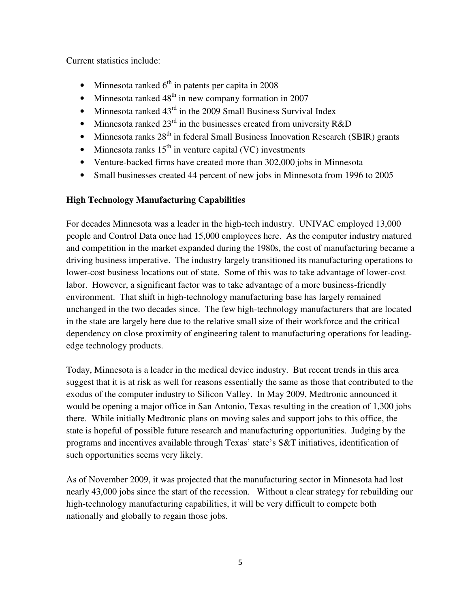Current statistics include:

- Minnesota ranked  $6<sup>th</sup>$  in patents per capita in 2008
- Minnesota ranked  $48<sup>th</sup>$  in new company formation in 2007
- Minnesota ranked  $43<sup>rd</sup>$  in the 2009 Small Business Survival Index
- Minnesota ranked  $23<sup>rd</sup>$  in the businesses created from university R&D
- Minnesota ranks  $28<sup>th</sup>$  in federal Small Business Innovation Research (SBIR) grants
- Minnesota ranks  $15<sup>th</sup>$  in venture capital (VC) investments
- Venture-backed firms have created more than 302,000 jobs in Minnesota
- Small businesses created 44 percent of new jobs in Minnesota from 1996 to 2005

### **High Technology Manufacturing Capabilities**

For decades Minnesota was a leader in the high-tech industry. UNIVAC employed 13,000 people and Control Data once had 15,000 employees here. As the computer industry matured and competition in the market expanded during the 1980s, the cost of manufacturing became a driving business imperative. The industry largely transitioned its manufacturing operations to lower-cost business locations out of state. Some of this was to take advantage of lower-cost labor. However, a significant factor was to take advantage of a more business-friendly environment. That shift in high-technology manufacturing base has largely remained unchanged in the two decades since. The few high-technology manufacturers that are located in the state are largely here due to the relative small size of their workforce and the critical dependency on close proximity of engineering talent to manufacturing operations for leadingedge technology products.

Today, Minnesota is a leader in the medical device industry. But recent trends in this area suggest that it is at risk as well for reasons essentially the same as those that contributed to the exodus of the computer industry to Silicon Valley. In May 2009, Medtronic announced it would be opening a major office in San Antonio, Texas resulting in the creation of 1,300 jobs there. While initially Medtronic plans on moving sales and support jobs to this office, the state is hopeful of possible future research and manufacturing opportunities. Judging by the programs and incentives available through Texas' state's S&T initiatives, identification of such opportunities seems very likely.

As of November 2009, it was projected that the manufacturing sector in Minnesota had lost nearly 43,000 jobs since the start of the recession. Without a clear strategy for rebuilding our high-technology manufacturing capabilities, it will be very difficult to compete both nationally and globally to regain those jobs.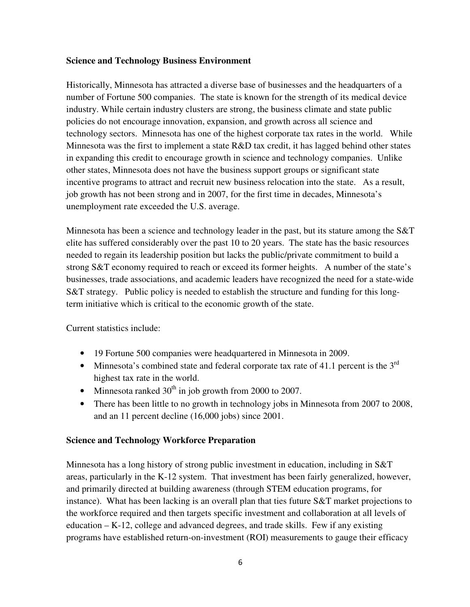#### **Science and Technology Business Environment**

Historically, Minnesota has attracted a diverse base of businesses and the headquarters of a number of Fortune 500 companies. The state is known for the strength of its medical device industry. While certain industry clusters are strong, the business climate and state public policies do not encourage innovation, expansion, and growth across all science and technology sectors. Minnesota has one of the highest corporate tax rates in the world. While Minnesota was the first to implement a state R&D tax credit, it has lagged behind other states in expanding this credit to encourage growth in science and technology companies. Unlike other states, Minnesota does not have the business support groups or significant state incentive programs to attract and recruit new business relocation into the state. As a result, job growth has not been strong and in 2007, for the first time in decades, Minnesota's unemployment rate exceeded the U.S. average.

Minnesota has been a science and technology leader in the past, but its stature among the S&T elite has suffered considerably over the past 10 to 20 years. The state has the basic resources needed to regain its leadership position but lacks the public/private commitment to build a strong S&T economy required to reach or exceed its former heights. A number of the state's businesses, trade associations, and academic leaders have recognized the need for a state-wide S&T strategy. Public policy is needed to establish the structure and funding for this longterm initiative which is critical to the economic growth of the state.

Current statistics include:

- 19 Fortune 500 companies were headquartered in Minnesota in 2009.
- Minnesota's combined state and federal corporate tax rate of 41.1 percent is the  $3<sup>rd</sup>$ highest tax rate in the world.
- Minnesota ranked  $30<sup>th</sup>$  in job growth from 2000 to 2007.
- There has been little to no growth in technology jobs in Minnesota from 2007 to 2008, and an 11 percent decline (16,000 jobs) since 2001.

#### **Science and Technology Workforce Preparation**

Minnesota has a long history of strong public investment in education, including in S&T areas, particularly in the K-12 system. That investment has been fairly generalized, however, and primarily directed at building awareness (through STEM education programs, for instance). What has been lacking is an overall plan that ties future S&T market projections to the workforce required and then targets specific investment and collaboration at all levels of education – K-12, college and advanced degrees, and trade skills. Few if any existing programs have established return-on-investment (ROI) measurements to gauge their efficacy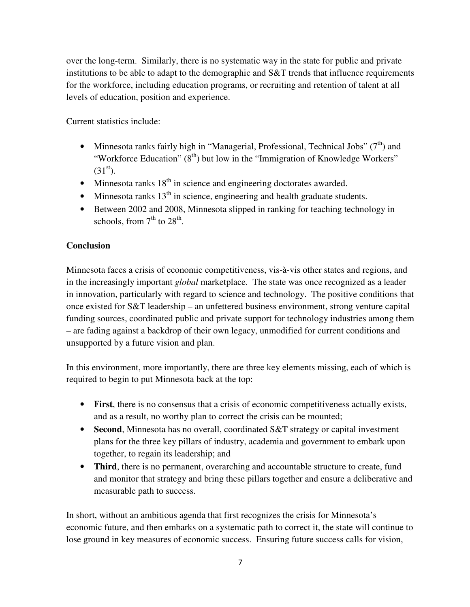over the long-term. Similarly, there is no systematic way in the state for public and private institutions to be able to adapt to the demographic and S&T trends that influence requirements for the workforce, including education programs, or recruiting and retention of talent at all levels of education, position and experience.

Current statistics include:

- Minnesota ranks fairly high in "Managerial, Professional, Technical Jobs"  $(7<sup>th</sup>)$  and "Workforce Education"  $(8^{th})$  but low in the "Immigration of Knowledge Workers"  $(31<sup>st</sup>)$ .
- Minnesota ranks  $18<sup>th</sup>$  in science and engineering doctorates awarded.
- Minnesota ranks  $13<sup>th</sup>$  in science, engineering and health graduate students.
- Between 2002 and 2008, Minnesota slipped in ranking for teaching technology in schools, from  $7<sup>th</sup>$  to  $28<sup>th</sup>$ .

## **Conclusion**

Minnesota faces a crisis of economic competitiveness, vis-à-vis other states and regions, and in the increasingly important *global* marketplace. The state was once recognized as a leader in innovation, particularly with regard to science and technology. The positive conditions that once existed for S&T leadership – an unfettered business environment, strong venture capital funding sources, coordinated public and private support for technology industries among them – are fading against a backdrop of their own legacy, unmodified for current conditions and unsupported by a future vision and plan.

In this environment, more importantly, there are three key elements missing, each of which is required to begin to put Minnesota back at the top:

- **First**, there is no consensus that a crisis of economic competitiveness actually exists, and as a result, no worthy plan to correct the crisis can be mounted;
- **Second**, Minnesota has no overall, coordinated S&T strategy or capital investment plans for the three key pillars of industry, academia and government to embark upon together, to regain its leadership; and
- **Third**, there is no permanent, overarching and accountable structure to create, fund and monitor that strategy and bring these pillars together and ensure a deliberative and measurable path to success.

In short, without an ambitious agenda that first recognizes the crisis for Minnesota's economic future, and then embarks on a systematic path to correct it, the state will continue to lose ground in key measures of economic success. Ensuring future success calls for vision,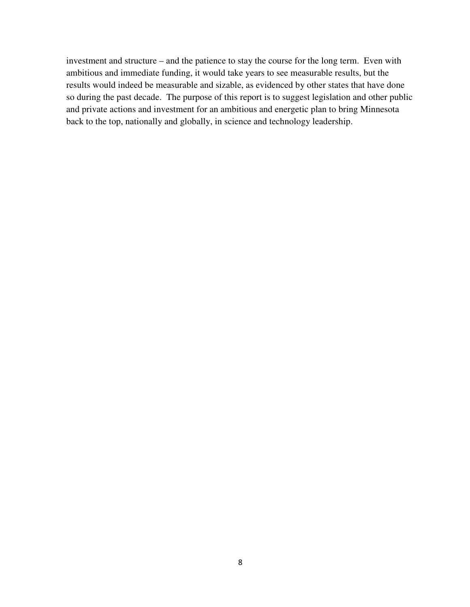investment and structure – and the patience to stay the course for the long term. Even with ambitious and immediate funding, it would take years to see measurable results, but the results would indeed be measurable and sizable, as evidenced by other states that have done so during the past decade. The purpose of this report is to suggest legislation and other public and private actions and investment for an ambitious and energetic plan to bring Minnesota back to the top, nationally and globally, in science and technology leadership.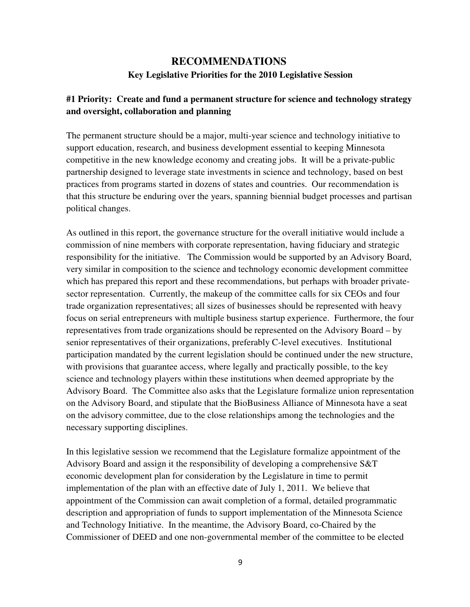# **RECOMMENDATIONS Key Legislative Priorities for the 2010 Legislative Session**

## **#1 Priority: Create and fund a permanent structure for science and technology strategy and oversight, collaboration and planning**

The permanent structure should be a major, multi-year science and technology initiative to support education, research, and business development essential to keeping Minnesota competitive in the new knowledge economy and creating jobs. It will be a private-public partnership designed to leverage state investments in science and technology, based on best practices from programs started in dozens of states and countries. Our recommendation is that this structure be enduring over the years, spanning biennial budget processes and partisan political changes.

As outlined in this report, the governance structure for the overall initiative would include a commission of nine members with corporate representation, having fiduciary and strategic responsibility for the initiative. The Commission would be supported by an Advisory Board, very similar in composition to the science and technology economic development committee which has prepared this report and these recommendations, but perhaps with broader privatesector representation. Currently, the makeup of the committee calls for six CEOs and four trade organization representatives; all sizes of businesses should be represented with heavy focus on serial entrepreneurs with multiple business startup experience. Furthermore, the four representatives from trade organizations should be represented on the Advisory Board – by senior representatives of their organizations, preferably C-level executives. Institutional participation mandated by the current legislation should be continued under the new structure, with provisions that guarantee access, where legally and practically possible, to the key science and technology players within these institutions when deemed appropriate by the Advisory Board. The Committee also asks that the Legislature formalize union representation on the Advisory Board, and stipulate that the BioBusiness Alliance of Minnesota have a seat on the advisory committee, due to the close relationships among the technologies and the necessary supporting disciplines.

In this legislative session we recommend that the Legislature formalize appointment of the Advisory Board and assign it the responsibility of developing a comprehensive S&T economic development plan for consideration by the Legislature in time to permit implementation of the plan with an effective date of July 1, 2011. We believe that appointment of the Commission can await completion of a formal, detailed programmatic description and appropriation of funds to support implementation of the Minnesota Science and Technology Initiative. In the meantime, the Advisory Board, co-Chaired by the Commissioner of DEED and one non-governmental member of the committee to be elected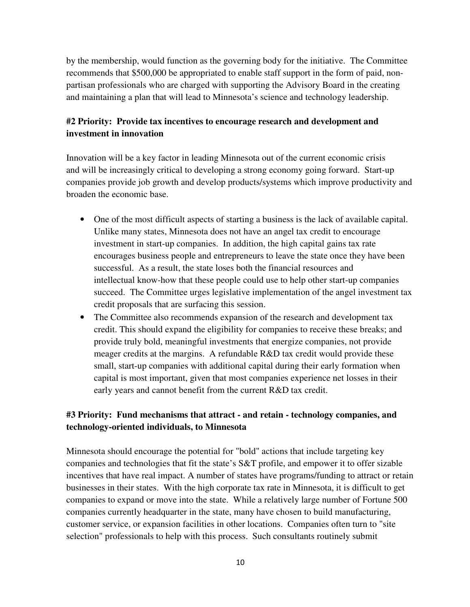by the membership, would function as the governing body for the initiative. The Committee recommends that \$500,000 be appropriated to enable staff support in the form of paid, nonpartisan professionals who are charged with supporting the Advisory Board in the creating and maintaining a plan that will lead to Minnesota's science and technology leadership.

## **#2 Priority: Provide tax incentives to encourage research and development and investment in innovation**

Innovation will be a key factor in leading Minnesota out of the current economic crisis and will be increasingly critical to developing a strong economy going forward. Start-up companies provide job growth and develop products/systems which improve productivity and broaden the economic base.

- One of the most difficult aspects of starting a business is the lack of available capital. Unlike many states, Minnesota does not have an angel tax credit to encourage investment in start-up companies. In addition, the high capital gains tax rate encourages business people and entrepreneurs to leave the state once they have been successful. As a result, the state loses both the financial resources and intellectual know-how that these people could use to help other start-up companies succeed. The Committee urges legislative implementation of the angel investment tax credit proposals that are surfacing this session.
- The Committee also recommends expansion of the research and development tax credit. This should expand the eligibility for companies to receive these breaks; and provide truly bold, meaningful investments that energize companies, not provide meager credits at the margins. A refundable R&D tax credit would provide these small, start-up companies with additional capital during their early formation when capital is most important, given that most companies experience net losses in their early years and cannot benefit from the current R&D tax credit.

## **#3 Priority: Fund mechanisms that attract - and retain - technology companies, and technology-oriented individuals, to Minnesota**

Minnesota should encourage the potential for "bold" actions that include targeting key companies and technologies that fit the state's S&T profile, and empower it to offer sizable incentives that have real impact. A number of states have programs/funding to attract or retain businesses in their states. With the high corporate tax rate in Minnesota, it is difficult to get companies to expand or move into the state. While a relatively large number of Fortune 500 companies currently headquarter in the state, many have chosen to build manufacturing, customer service, or expansion facilities in other locations. Companies often turn to "site selection" professionals to help with this process. Such consultants routinely submit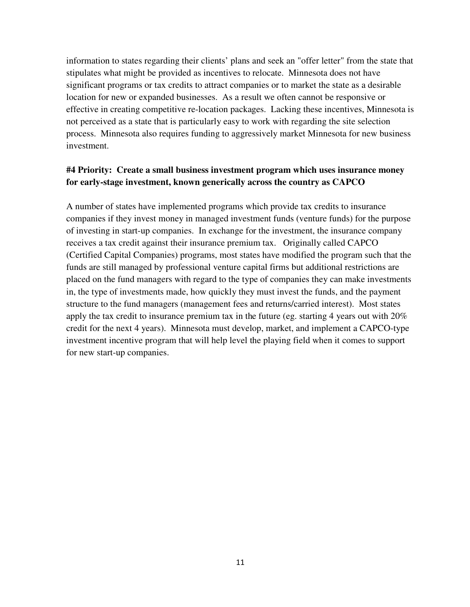information to states regarding their clients' plans and seek an "offer letter" from the state that stipulates what might be provided as incentives to relocate. Minnesota does not have significant programs or tax credits to attract companies or to market the state as a desirable location for new or expanded businesses. As a result we often cannot be responsive or effective in creating competitive re-location packages. Lacking these incentives, Minnesota is not perceived as a state that is particularly easy to work with regarding the site selection process. Minnesota also requires funding to aggressively market Minnesota for new business investment.

#### **#4 Priority: Create a small business investment program which uses insurance money for early-stage investment, known generically across the country as CAPCO**

A number of states have implemented programs which provide tax credits to insurance companies if they invest money in managed investment funds (venture funds) for the purpose of investing in start-up companies. In exchange for the investment, the insurance company receives a tax credit against their insurance premium tax. Originally called CAPCO (Certified Capital Companies) programs, most states have modified the program such that the funds are still managed by professional venture capital firms but additional restrictions are placed on the fund managers with regard to the type of companies they can make investments in, the type of investments made, how quickly they must invest the funds, and the payment structure to the fund managers (management fees and returns/carried interest). Most states apply the tax credit to insurance premium tax in the future (eg. starting 4 years out with 20% credit for the next 4 years). Minnesota must develop, market, and implement a CAPCO-type investment incentive program that will help level the playing field when it comes to support for new start-up companies.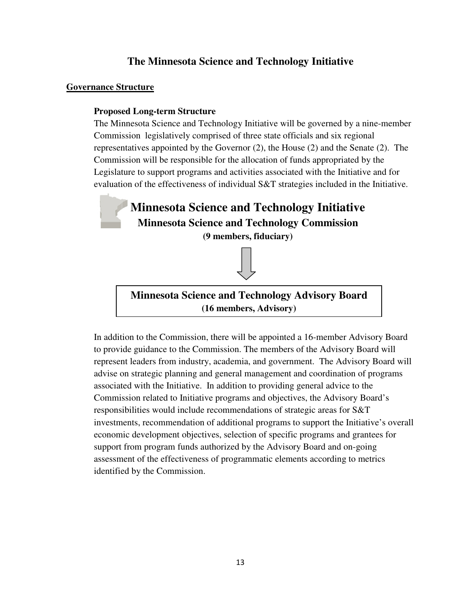## **The Minnesota Science and Technology Initiative**

#### **Governance Structure**

#### **Proposed Long-term Structure**

The Minnesota Science and Technology Initiative will be governed by a nine-member Commission legislatively comprised of three state officials and six regional representatives appointed by the Governor (2), the House (2) and the Senate (2). The Commission will be responsible for the allocation of funds appropriated by the Legislature to support programs and activities associated with the Initiative and for evaluation of the effectiveness of individual S&T strategies included in the Initiative.

# **Minnesota Science and Technology Initiative Minnesota Science and Technology Commission (9 members, fiduciary)**

**Minnesota Science and Technology Advisory Board (16 members, Advisory)** 

In addition to the Commission, there will be appointed a 16-member Advisory Board to provide guidance to the Commission. The members of the Advisory Board will represent leaders from industry, academia, and government. The Advisory Board will advise on strategic planning and general management and coordination of programs associated with the Initiative. In addition to providing general advice to the Commission related to Initiative programs and objectives, the Advisory Board's responsibilities would include recommendations of strategic areas for S&T investments, recommendation of additional programs to support the Initiative's overall economic development objectives, selection of specific programs and grantees for support from program funds authorized by the Advisory Board and on-going assessment of the effectiveness of programmatic elements according to metrics identified by the Commission.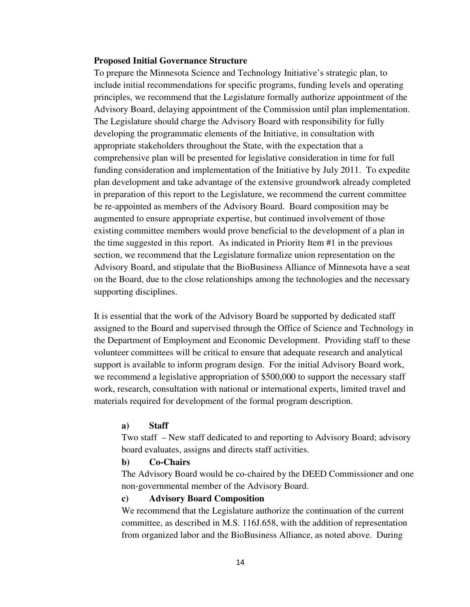#### **Proposed Initial Governance Structure**

To prepare the Minnesota Science and Technology Initiative's strategic plan, to include initial recommendations for specific programs, funding levels and operating principles, we recommend that the Legislature formally authorize appointment of the Advisory Board, delaying appointment of the Commission until plan implementation. The Legislature should charge the Advisory Board with responsibility for fully developing the programmatic elements of the Initiative, in consultation with appropriate stakeholders throughout the State, with the expectation that a comprehensive plan will be presented for legislative consideration in time for full funding consideration and implementation of the Initiative by July 2011. To expedite plan development and take advantage of the extensive groundwork already completed in preparation of this report to the Legislature, we recommend the current committee be re-appointed as members of the Advisory Board. Board composition may be augmented to ensure appropriate expertise, but continued involvement of those existing committee members would prove beneficial to the development of a plan in the time suggested in this report. As indicated in Priority Item #1 in the previous section, we recommend that the Legislature formalize union representation on the Advisory Board, and stipulate that the BioBusiness Alliance of Minnesota have a seat on the Board, due to the close relationships among the technologies and the necessary supporting disciplines.

It is essential that the work of the Advisory Board be supported by dedicated staff assigned to the Board and supervised through the Office of Science and Technology in the Department of Employment and Economic Development. Providing staff to these volunteer committees will be critical to ensure that adequate research and analytical support is available to inform program design. For the initial Advisory Board work, we recommend a legislative appropriation of \$500,000 to support the necessary staff work, research, consultation with national or international experts, limited travel and materials required for development of the formal program description.

#### **a) Staff**

Two staff – New staff dedicated to and reporting to Advisory Board; advisory board evaluates, assigns and directs staff activities.

#### **b) Co-Chairs**

The Advisory Board would be co-chaired by the DEED Commissioner and one non-governmental member of the Advisory Board.

#### **c) Advisory Board Composition**

We recommend that the Legislature authorize the continuation of the current committee, as described in M.S. 116J.658, with the addition of representation from organized labor and the BioBusiness Alliance, as noted above. During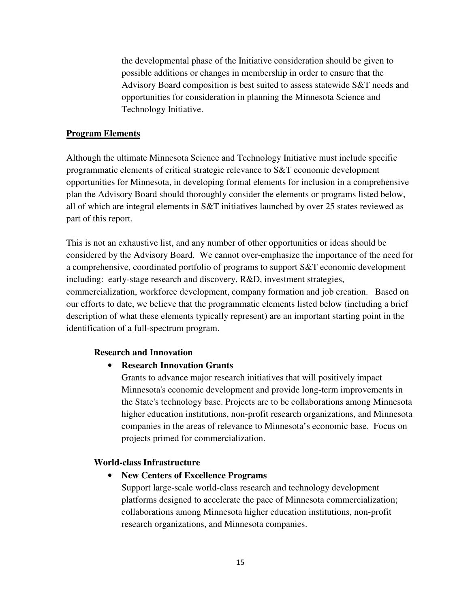the developmental phase of the Initiative consideration should be given to possible additions or changes in membership in order to ensure that the Advisory Board composition is best suited to assess statewide S&T needs and opportunities for consideration in planning the Minnesota Science and Technology Initiative.

#### **Program Elements**

Although the ultimate Minnesota Science and Technology Initiative must include specific programmatic elements of critical strategic relevance to S&T economic development opportunities for Minnesota, in developing formal elements for inclusion in a comprehensive plan the Advisory Board should thoroughly consider the elements or programs listed below, all of which are integral elements in S&T initiatives launched by over 25 states reviewed as part of this report.

This is not an exhaustive list, and any number of other opportunities or ideas should be considered by the Advisory Board. We cannot over-emphasize the importance of the need for a comprehensive, coordinated portfolio of programs to support S&T economic development including: early-stage research and discovery, R&D, investment strategies, commercialization, workforce development, company formation and job creation. Based on our efforts to date, we believe that the programmatic elements listed below (including a brief description of what these elements typically represent) are an important starting point in the identification of a full-spectrum program.

#### **Research and Innovation**

#### • **Research Innovation Grants**

Grants to advance major research initiatives that will positively impact Minnesota's economic development and provide long-term improvements in the State's technology base. Projects are to be collaborations among Minnesota higher education institutions, non-profit research organizations, and Minnesota companies in the areas of relevance to Minnesota's economic base. Focus on projects primed for commercialization.

#### **World-class Infrastructure**

• **New Centers of Excellence Programs** 

Support large-scale world-class research and technology development platforms designed to accelerate the pace of Minnesota commercialization; collaborations among Minnesota higher education institutions, non-profit research organizations, and Minnesota companies.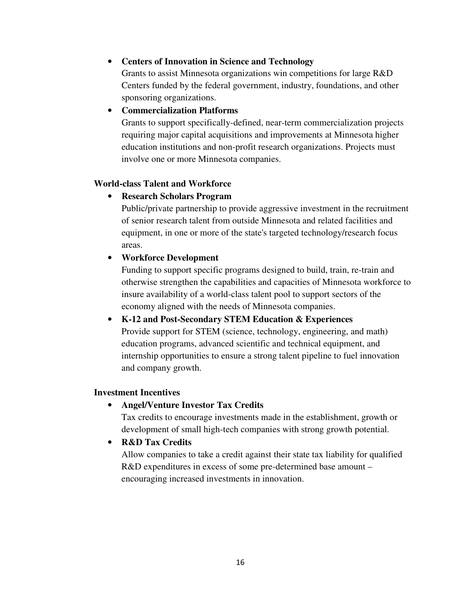#### • **Centers of Innovation in Science and Technology**

Grants to assist Minnesota organizations win competitions for large R&D Centers funded by the federal government, industry, foundations, and other sponsoring organizations.

#### • **Commercialization Platforms**

Grants to support specifically-defined, near-term commercialization projects requiring major capital acquisitions and improvements at Minnesota higher education institutions and non-profit research organizations. Projects must involve one or more Minnesota companies.

#### **World-class Talent and Workforce**

#### • **Research Scholars Program**

Public/private partnership to provide aggressive investment in the recruitment of senior research talent from outside Minnesota and related facilities and equipment, in one or more of the state's targeted technology/research focus areas.

#### • **Workforce Development**

Funding to support specific programs designed to build, train, re-train and otherwise strengthen the capabilities and capacities of Minnesota workforce to insure availability of a world-class talent pool to support sectors of the economy aligned with the needs of Minnesota companies.

## • **K-12 and Post-Secondary STEM Education & Experiences**  Provide support for STEM (science, technology, engineering, and math) education programs, advanced scientific and technical equipment, and internship opportunities to ensure a strong talent pipeline to fuel innovation and company growth.

#### **Investment Incentives**

#### • **Angel/Venture Investor Tax Credits**

Tax credits to encourage investments made in the establishment, growth or development of small high-tech companies with strong growth potential.

#### • **R&D Tax Credits**

Allow companies to take a credit against their state tax liability for qualified R&D expenditures in excess of some pre-determined base amount – encouraging increased investments in innovation.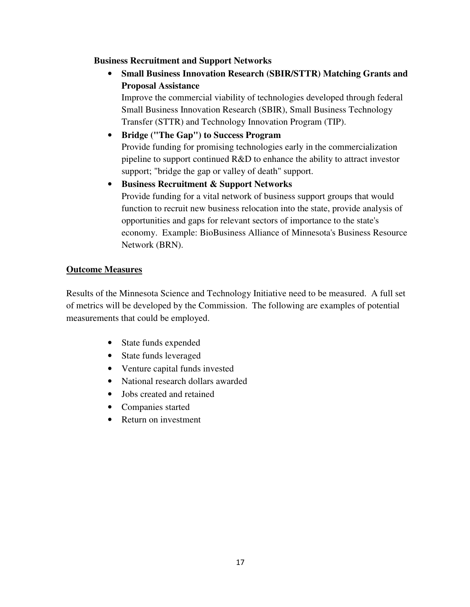#### **Business Recruitment and Support Networks**

• **Small Business Innovation Research (SBIR/STTR) Matching Grants and Proposal Assistance** 

Improve the commercial viability of technologies developed through federal Small Business Innovation Research (SBIR), Small Business Technology Transfer (STTR) and Technology Innovation Program (TIP).

- **Bridge ("The Gap") to Success Program**  Provide funding for promising technologies early in the commercialization pipeline to support continued R&D to enhance the ability to attract investor support; "bridge the gap or valley of death" support.
- **Business Recruitment & Support Networks**

Provide funding for a vital network of business support groups that would function to recruit new business relocation into the state, provide analysis of opportunities and gaps for relevant sectors of importance to the state's economy. Example: BioBusiness Alliance of Minnesota's Business Resource Network (BRN).

#### **Outcome Measures**

Results of the Minnesota Science and Technology Initiative need to be measured. A full set of metrics will be developed by the Commission. The following are examples of potential measurements that could be employed.

- State funds expended
- State funds leveraged
- Venture capital funds invested
- National research dollars awarded
- Jobs created and retained
- Companies started
- Return on investment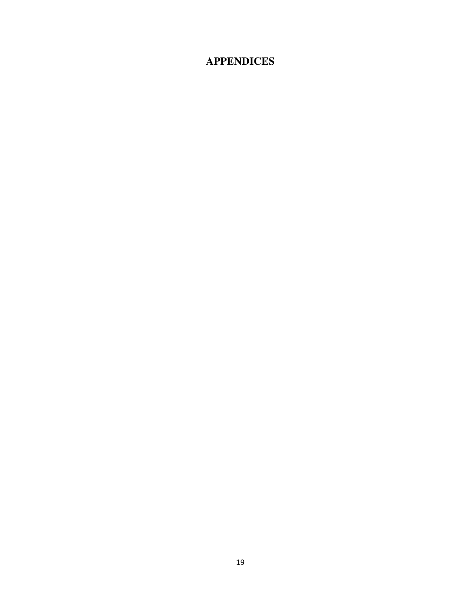## **APPENDICES**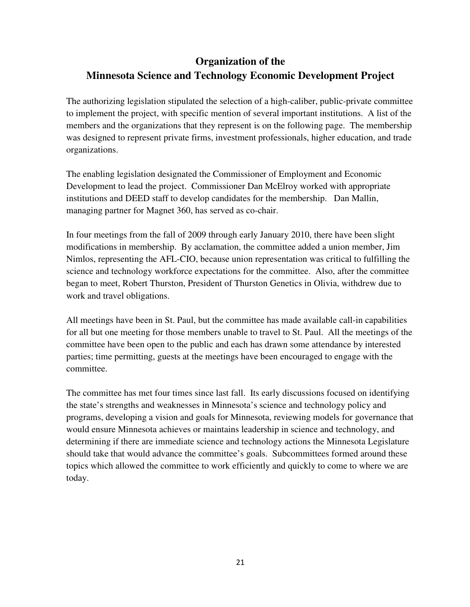# **Organization of the Minnesota Science and Technology Economic Development Project**

The authorizing legislation stipulated the selection of a high-caliber, public-private committee to implement the project, with specific mention of several important institutions. A list of the members and the organizations that they represent is on the following page. The membership was designed to represent private firms, investment professionals, higher education, and trade organizations.

The enabling legislation designated the Commissioner of Employment and Economic Development to lead the project. Commissioner Dan McElroy worked with appropriate institutions and DEED staff to develop candidates for the membership. Dan Mallin, managing partner for Magnet 360, has served as co-chair.

In four meetings from the fall of 2009 through early January 2010, there have been slight modifications in membership. By acclamation, the committee added a union member, Jim Nimlos, representing the AFL-CIO, because union representation was critical to fulfilling the science and technology workforce expectations for the committee. Also, after the committee began to meet, Robert Thurston, President of Thurston Genetics in Olivia, withdrew due to work and travel obligations.

All meetings have been in St. Paul, but the committee has made available call-in capabilities for all but one meeting for those members unable to travel to St. Paul. All the meetings of the committee have been open to the public and each has drawn some attendance by interested parties; time permitting, guests at the meetings have been encouraged to engage with the committee.

The committee has met four times since last fall. Its early discussions focused on identifying the state's strengths and weaknesses in Minnesota's science and technology policy and programs, developing a vision and goals for Minnesota, reviewing models for governance that would ensure Minnesota achieves or maintains leadership in science and technology, and determining if there are immediate science and technology actions the Minnesota Legislature should take that would advance the committee's goals. Subcommittees formed around these topics which allowed the committee to work efficiently and quickly to come to where we are today.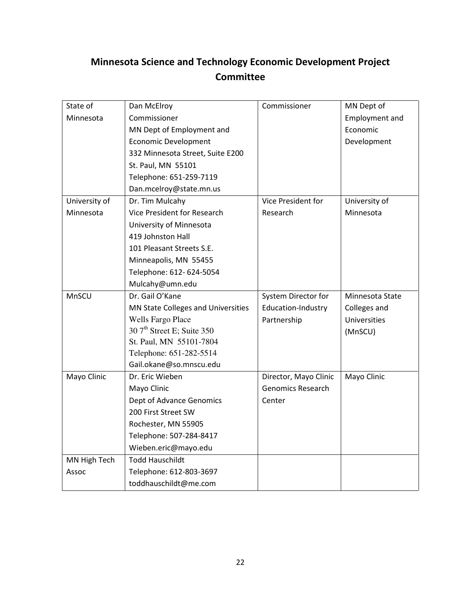# Minnesota Science and Technology Economic Development Project **Committee**

| State of      | Dan McElroy                            | Commissioner             | MN Dept of            |
|---------------|----------------------------------------|--------------------------|-----------------------|
| Minnesota     | Commissioner                           |                          | <b>Employment and</b> |
|               | MN Dept of Employment and              |                          | Economic              |
|               | <b>Economic Development</b>            |                          | Development           |
|               | 332 Minnesota Street, Suite E200       |                          |                       |
|               | St. Paul, MN 55101                     |                          |                       |
|               | Telephone: 651-259-7119                |                          |                       |
|               | Dan.mcelroy@state.mn.us                |                          |                       |
| University of | Dr. Tim Mulcahy                        | Vice President for       | University of         |
| Minnesota     | Vice President for Research            | Research                 | Minnesota             |
|               | University of Minnesota                |                          |                       |
|               | 419 Johnston Hall                      |                          |                       |
|               | 101 Pleasant Streets S.E.              |                          |                       |
|               | Minneapolis, MN 55455                  |                          |                       |
|               | Telephone: 612- 624-5054               |                          |                       |
|               | Mulcahy@umn.edu                        |                          |                       |
| MnSCU         | Dr. Gail O'Kane                        | System Director for      | Minnesota State       |
|               | MN State Colleges and Universities     | Education-Industry       | Colleges and          |
|               | <b>Wells Fargo Place</b>               | Partnership              | Universities          |
|               | 30 7 <sup>th</sup> Street E; Suite 350 |                          | (MnSCU)               |
|               | St. Paul, MN 55101-7804                |                          |                       |
|               | Telephone: 651-282-5514                |                          |                       |
|               | Gail.okane@so.mnscu.edu                |                          |                       |
| Mayo Clinic   | Dr. Eric Wieben                        | Director, Mayo Clinic    | Mayo Clinic           |
|               | Mayo Clinic                            | <b>Genomics Research</b> |                       |
|               | Dept of Advance Genomics               | Center                   |                       |
|               | 200 First Street SW                    |                          |                       |
|               | Rochester, MN 55905                    |                          |                       |
|               | Telephone: 507-284-8417                |                          |                       |
|               | Wieben.eric@mayo.edu                   |                          |                       |
| MN High Tech  | <b>Todd Hauschildt</b>                 |                          |                       |
| Assoc         | Telephone: 612-803-3697                |                          |                       |
|               | toddhauschildt@me.com                  |                          |                       |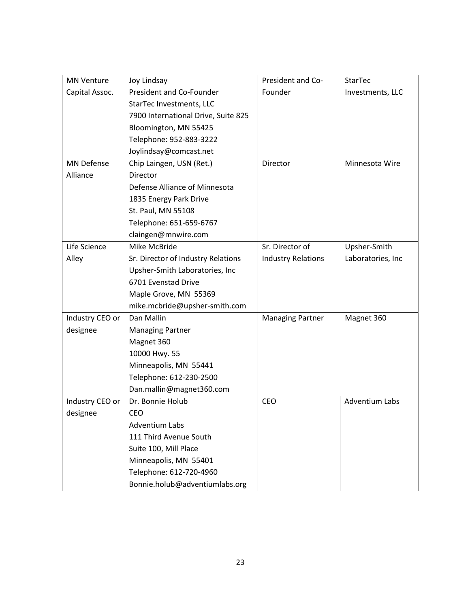| <b>MN Venture</b> | Joy Lindsay                         | President and Co-         | <b>StarTec</b>        |
|-------------------|-------------------------------------|---------------------------|-----------------------|
| Capital Assoc.    | President and Co-Founder            | Founder                   | Investments, LLC      |
|                   | StarTec Investments, LLC            |                           |                       |
|                   | 7900 International Drive, Suite 825 |                           |                       |
|                   | Bloomington, MN 55425               |                           |                       |
|                   | Telephone: 952-883-3222             |                           |                       |
|                   | Joylindsay@comcast.net              |                           |                       |
| <b>MN Defense</b> | Chip Laingen, USN (Ret.)            | Director                  | Minnesota Wire        |
| Alliance          | <b>Director</b>                     |                           |                       |
|                   | Defense Alliance of Minnesota       |                           |                       |
|                   | 1835 Energy Park Drive              |                           |                       |
|                   | St. Paul, MN 55108                  |                           |                       |
|                   | Telephone: 651-659-6767             |                           |                       |
|                   | claingen@mnwire.com                 |                           |                       |
| Life Science      | Mike McBride                        | Sr. Director of           | Upsher-Smith          |
| Alley             | Sr. Director of Industry Relations  | <b>Industry Relations</b> | Laboratories, Inc     |
|                   | Upsher-Smith Laboratories, Inc      |                           |                       |
|                   | 6701 Evenstad Drive                 |                           |                       |
|                   | Maple Grove, MN 55369               |                           |                       |
|                   | mike.mcbride@upsher-smith.com       |                           |                       |
| Industry CEO or   | Dan Mallin                          | <b>Managing Partner</b>   | Magnet 360            |
| designee          | <b>Managing Partner</b>             |                           |                       |
|                   | Magnet 360                          |                           |                       |
|                   | 10000 Hwy. 55                       |                           |                       |
|                   | Minneapolis, MN 55441               |                           |                       |
|                   | Telephone: 612-230-2500             |                           |                       |
|                   | Dan.mallin@magnet360.com            |                           |                       |
| Industry CEO or   | Dr. Bonnie Holub                    | CEO                       | <b>Adventium Labs</b> |
| designee          | <b>CEO</b>                          |                           |                       |
|                   | <b>Adventium Labs</b>               |                           |                       |
|                   | 111 Third Avenue South              |                           |                       |
|                   | Suite 100, Mill Place               |                           |                       |
|                   | Minneapolis, MN 55401               |                           |                       |
|                   | Telephone: 612-720-4960             |                           |                       |
|                   | Bonnie.holub@adventiumlabs.org      |                           |                       |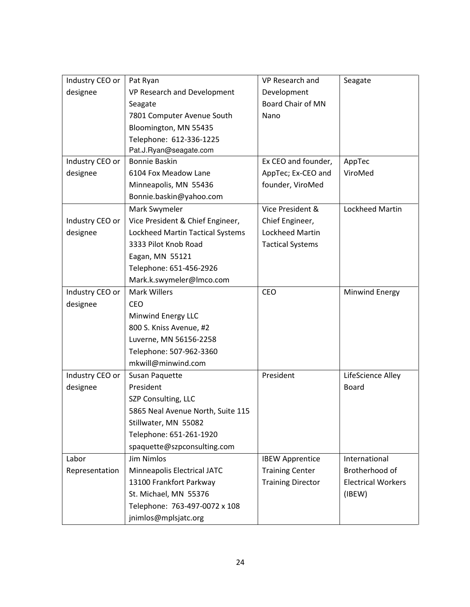| Industry CEO or | Pat Ryan                           | VP Research and          | Seagate                   |
|-----------------|------------------------------------|--------------------------|---------------------------|
| designee        | VP Research and Development        | Development              |                           |
|                 | Seagate                            | <b>Board Chair of MN</b> |                           |
|                 | 7801 Computer Avenue South         | Nano                     |                           |
|                 | Bloomington, MN 55435              |                          |                           |
|                 | Telephone: 612-336-1225            |                          |                           |
|                 | Pat.J.Ryan@seagate.com             |                          |                           |
| Industry CEO or | <b>Bonnie Baskin</b>               | Ex CEO and founder,      | AppTec                    |
| designee        | 6104 Fox Meadow Lane               | AppTec; Ex-CEO and       | ViroMed                   |
|                 | Minneapolis, MN 55436              | founder, ViroMed         |                           |
|                 | Bonnie.baskin@yahoo.com            |                          |                           |
|                 | Mark Swymeler                      | Vice President &         | Lockheed Martin           |
| Industry CEO or | Vice President & Chief Engineer,   | Chief Engineer,          |                           |
| designee        | Lockheed Martin Tactical Systems   | Lockheed Martin          |                           |
|                 | 3333 Pilot Knob Road               | <b>Tactical Systems</b>  |                           |
|                 | Eagan, MN 55121                    |                          |                           |
|                 | Telephone: 651-456-2926            |                          |                           |
|                 | Mark.k.swymeler@lmco.com           |                          |                           |
| Industry CEO or | <b>Mark Willers</b>                | <b>CEO</b>               | Minwind Energy            |
| designee        | <b>CEO</b>                         |                          |                           |
|                 | Minwind Energy LLC                 |                          |                           |
|                 | 800 S. Kniss Avenue, #2            |                          |                           |
|                 | Luverne, MN 56156-2258             |                          |                           |
|                 | Telephone: 507-962-3360            |                          |                           |
|                 | mkwill@minwind.com                 |                          |                           |
| Industry CEO or | Susan Paquette                     | President                | LifeScience Alley         |
| designee        | President                          |                          | <b>Board</b>              |
|                 | SZP Consulting, LLC                |                          |                           |
|                 | 5865 Neal Avenue North, Suite 115  |                          |                           |
|                 | Stillwater, MN 55082               |                          |                           |
|                 | Telephone: 651-261-1920            |                          |                           |
|                 | spaquette@szpconsulting.com        |                          |                           |
| Labor           | <b>Jim Nimlos</b>                  | <b>IBEW Apprentice</b>   | International             |
| Representation  | <b>Minneapolis Electrical JATC</b> | <b>Training Center</b>   | Brotherhood of            |
|                 | 13100 Frankfort Parkway            | <b>Training Director</b> | <b>Electrical Workers</b> |
|                 | St. Michael, MN 55376              |                          | (IBEW)                    |
|                 | Telephone: 763-497-0072 x 108      |                          |                           |
|                 | jnimlos@mplsjatc.org               |                          |                           |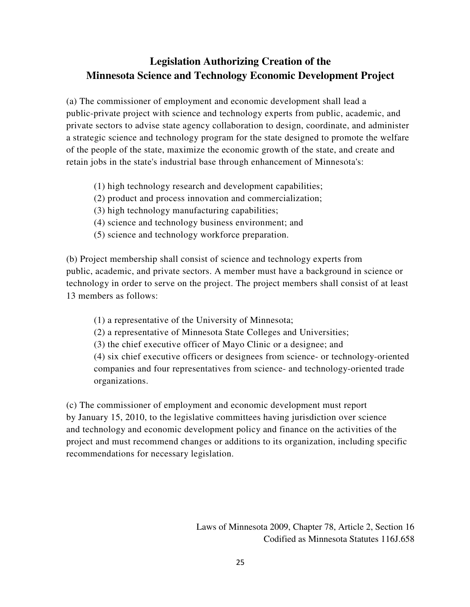# **Legislation Authorizing Creation of the Minnesota Science and Technology Economic Development Project**

(a) The commissioner of employment and economic development shall lead a public-private project with science and technology experts from public, academic, and private sectors to advise state agency collaboration to design, coordinate, and administer a strategic science and technology program for the state designed to promote the welfare of the people of the state, maximize the economic growth of the state, and create and retain jobs in the state's industrial base through enhancement of Minnesota's:

- (1) high technology research and development capabilities;
- (2) product and process innovation and commercialization;
- (3) high technology manufacturing capabilities;
- (4) science and technology business environment; and
- (5) science and technology workforce preparation.

(b) Project membership shall consist of science and technology experts from public, academic, and private sectors. A member must have a background in science or technology in order to serve on the project. The project members shall consist of at least 13 members as follows:

- (1) a representative of the University of Minnesota;
- (2) a representative of Minnesota State Colleges and Universities;
- (3) the chief executive officer of Mayo Clinic or a designee; and

(4) six chief executive officers or designees from science- or technology-oriented companies and four representatives from science- and technology-oriented trade organizations.

(c) The commissioner of employment and economic development must report by January 15, 2010, to the legislative committees having jurisdiction over science and technology and economic development policy and finance on the activities of the project and must recommend changes or additions to its organization, including specific recommendations for necessary legislation.

> Laws of Minnesota 2009, Chapter 78, Article 2, Section 16 Codified as Minnesota Statutes 116J.658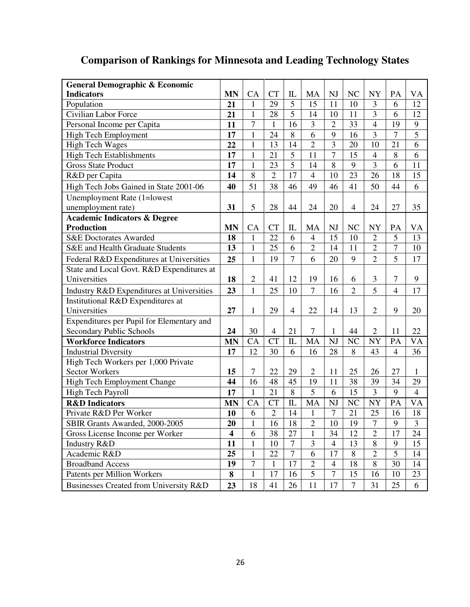|  |  |  |  | <b>Comparison of Rankings for Minnesota and Leading Technology States</b> |
|--|--|--|--|---------------------------------------------------------------------------|
|--|--|--|--|---------------------------------------------------------------------------|

| General Demographic & Economic            |                         |                |                 |                                 |                |                 |                 |                |                |                |
|-------------------------------------------|-------------------------|----------------|-----------------|---------------------------------|----------------|-----------------|-----------------|----------------|----------------|----------------|
| <b>Indicators</b>                         | <b>MN</b>               | <b>CA</b>      | <b>CT</b>       | IL                              | MA             | <b>NJ</b>       | NC              | NY             | PA             | <b>VA</b>      |
| Population                                | 21                      | $\mathbf{1}$   | 29              | 5                               | 15             | 11              | 10              | 3              | 6              | 12             |
| Civilian Labor Force                      | 21                      | $\mathbf{1}$   | 28              | $\overline{5}$                  | 14             | 10              | 11              | 3              | 6              | 12             |
| Personal Income per Capita                | 11                      | 7              | 1               | 16                              | 3              | $\overline{2}$  | 33              | $\overline{4}$ | 19             | 9              |
| High Tech Employment                      | 17                      | 1              | 24              | 8                               | 6              | 9               | 16              | 3              | 7              | 5              |
| <b>High Tech Wages</b>                    | 22                      | $\mathbf{1}$   | 13              | 14                              | $\overline{2}$ | 3               | 20              | 10             | 21             | 6              |
| <b>High Tech Establishments</b>           | 17                      | $\mathbf{1}$   | 21              | $\overline{5}$                  | 11             | $\overline{7}$  | 15              | $\overline{4}$ | 8              | 6              |
| <b>Gross State Product</b>                | 17                      | $\mathbf{1}$   | 23              | $\overline{5}$                  | 14             | 8               | 9               | $\overline{3}$ | $\overline{6}$ | 11             |
| R&D per Capita                            | 14                      | 8              | $\overline{2}$  | 17                              | $\overline{4}$ | 10              | 23              | 26             | 18             | 15             |
| High Tech Jobs Gained in State 2001-06    | 40                      | 51             | 38              | 46                              | 49             | 46              | 41              | 50             | 44             | 6              |
| Unemployment Rate (1=lowest               |                         |                |                 |                                 |                |                 |                 |                |                |                |
| unemployment rate)                        | 31                      | 5              | 28              | 44                              | 24             | 20              | $\overline{4}$  | 24             | 27             | 35             |
| <b>Academic Indicators &amp; Degree</b>   |                         |                |                 |                                 |                |                 |                 |                |                |                |
| Production                                | <b>MN</b>               | CA             | <b>CT</b>       | $\mathop{\mathrm{IL}}\nolimits$ | MA             | <b>NJ</b>       | NC              | NY             | PA             | VA             |
| <b>S&amp;E Doctorates Awarded</b>         | 18                      | $\mathbf{1}$   | 22              | 6                               | $\overline{4}$ | 15              | 10              | $\overline{2}$ | 5              | 13             |
| S&E and Health Graduate Students          | 13                      | $\mathbf{1}$   | 25              | 6                               | $\overline{2}$ | 14              | 11              | $\overline{2}$ | $\overline{7}$ | 10             |
| Federal R&D Expenditures at Universities  | 25                      | $\mathbf{1}$   | 19              | $\overline{7}$                  | 6              | 20              | 9               | $\overline{2}$ | 5              | 17             |
| State and Local Govt. R&D Expenditures at |                         |                |                 |                                 |                |                 |                 |                |                |                |
| Universities                              | 18                      | $\overline{2}$ | 41              | 12                              | 19             | 16              | 6               | 3              | 7              | 9              |
| Industry R&D Expenditures at Universities | 23                      | $\mathbf{1}$   | 25              | 10                              | $\overline{7}$ | 16              | $\overline{2}$  | 5              | $\overline{4}$ | 17             |
| Institutional R&D Expenditures at         |                         |                |                 |                                 |                |                 |                 |                |                |                |
| Universities                              | 27                      | $\mathbf{1}$   | 29              | $\overline{4}$                  | 22             | 14              | 13              | $\overline{2}$ | 9              | 20             |
| Expenditures per Pupil for Elementary and |                         |                |                 |                                 |                |                 |                 |                |                |                |
| Secondary Public Schools                  | 24                      | 30             | $\overline{4}$  | 21                              | 7              | 1               | 44              | $\overline{2}$ | 11             | 22             |
| <b>Workforce Indicators</b>               | <b>MN</b>               | CA             | <b>CT</b>       | IL                              | MA             | NJ              | NC              | NY             | PA             | VA             |
| <b>Industrial Diversity</b>               | 17                      | 12             | 30              | 6                               | 16             | 28              | 8               | 43             | $\overline{4}$ | 36             |
| High Tech Workers per 1,000 Private       |                         |                |                 |                                 |                |                 |                 |                |                |                |
| <b>Sector Workers</b>                     | 15                      | 7              | 22              | 29                              | $\overline{2}$ | 11              | 25              | 26             | 27             | $\mathbf{1}$   |
| High Tech Employment Change               | 44                      | 16             | 48              | 45                              | 19             | 11              | 38              | 39             | 34             | 29             |
| High Tech Payroll                         | 17                      | $\mathbf{1}$   | 21              | 8                               | 5              | 6               | 15              | 3              | 9              | $\overline{4}$ |
| <b>R&amp;D</b> Indicators                 | <b>MN</b>               | CA             | <b>CT</b>       | IL                              | MA             | <b>NJ</b>       | N <sub>C</sub>  | <b>NY</b>      | PA             | <b>VA</b>      |
| Private R&D Per Worker                    | 10                      | 6              | $\overline{2}$  | 14                              | $\mathbf{1}$   | $\overline{7}$  | 21              | 25             | 16             | 18             |
| SBIR Grants Awarded, 2000-2005            | 20                      | 1              | $\overline{16}$ | 18                              | $\overline{2}$ | $\overline{10}$ | $\overline{19}$ | $\overline{7}$ | 9              | 3              |
| Gross License Income per Worker           | $\overline{\mathbf{4}}$ | 6              | 38              | 27                              | $\mathbf{1}$   | 34              | 12              | $\overline{2}$ | 17             | 24             |
| Industry R&D                              | 11                      | $\mathbf{1}$   | 10              | $\overline{7}$                  | $\overline{3}$ | $\overline{4}$  | 13              | 8              | 9              | 15             |
| Academic R&D                              | 25                      | $\mathbf{1}$   | 22              | $\tau$                          | 6              | 17              | 8               | $\overline{2}$ | $\overline{5}$ | 14             |
| <b>Broadband Access</b>                   | 19                      | $\tau$         | $\mathbf{1}$    | $\overline{17}$                 | $\overline{2}$ | $\overline{4}$  | 18              | $\,8\,$        | 30             | 14             |
| Patents per Million Workers               | 8                       | 1              | 17              | 16                              | 5              | $\overline{7}$  | 15              | 16             | 10             | 23             |
| Businesses Created from University R&D    | 23                      | 18             | 41              | 26                              | 11             | 17              | $\overline{7}$  | 31             | 25             | 6              |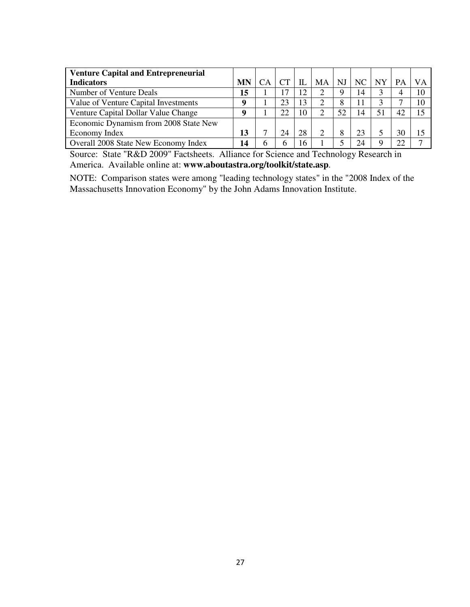| <b>Venture Capital and Entrepreneurial</b> |           |           |           |     |    |       |    |          |    |           |
|--------------------------------------------|-----------|-----------|-----------|-----|----|-------|----|----------|----|-----------|
| <b>Indicators</b>                          | <b>MN</b> | <b>CA</b> | <b>CT</b> | IL. | MA | $N$ J | NC | NY       | PA | <b>VA</b> |
| Number of Venture Deals                    | 15        |           |           | 12  |    | Q     | 14 |          | 4  | 10        |
| Value of Venture Capital Investments       | Q         |           | 23        | 13  |    | 8     | 11 |          |    | 10        |
| Venture Capital Dollar Value Change        | Օ         |           | 22        | 10  | 2  | 52    | 14 | 51       | 42 | 15        |
| Economic Dynamism from 2008 State New      |           |           |           |     |    |       |    |          |    |           |
| Economy Index                              | 13        |           | 24        | 28  | ↑  | 8     | 23 |          | 30 | 15        |
| Overall 2008 State New Economy Index       | 14        |           | b         | 16  |    |       | 24 | $\Omega$ | 22 |           |

Source: State "R&D 2009" Factsheets. Alliance for Science and Technology Research in America. Available online at: **www.aboutastra.org/toolkit/state.asp**.

NOTE: Comparison states were among "leading technology states" in the "2008 Index of the Massachusetts Innovation Economy" by the John Adams Innovation Institute.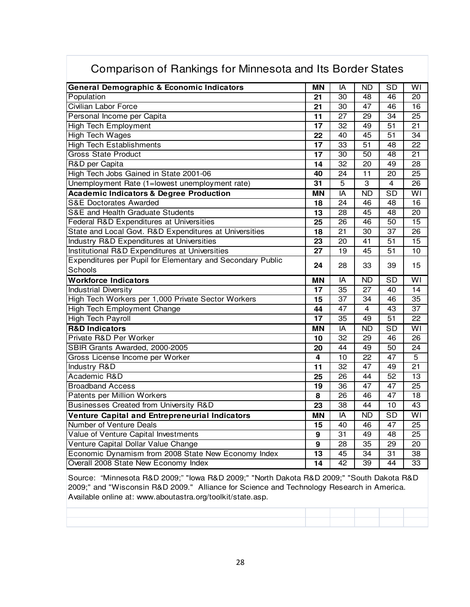| <b>General Demographic &amp; Economic Indicators</b>       | <b>MN</b> | IA              | ND.             | SD              | W١                      |
|------------------------------------------------------------|-----------|-----------------|-----------------|-----------------|-------------------------|
| Population                                                 | 21        | 30              | 48              | 46              | 20                      |
| <b>Civilian Labor Force</b>                                | 21        | 30              | $\overline{47}$ | 46              | 16                      |
| Personal Income per Capita                                 | 11        | 27              | 29              | 34              | 25                      |
| <b>High Tech Employment</b>                                | 17        | 32              | 49              | 51              | 21                      |
| <b>High Tech Wages</b>                                     | 22        | 40              | 45              | 51              | 34                      |
| <b>High Tech Establishments</b>                            | 17        | $\overline{33}$ | $\overline{51}$ | $\overline{48}$ | $\overline{22}$         |
| <b>Gross State Product</b>                                 | 17        | 30              | $\overline{50}$ | 48              | 21                      |
| R&D per Capita                                             | 14        | 32              | 20              | 49              | 28                      |
| High Tech Jobs Gained in State 2001-06                     | 40        | 24              | 11              | 20              | 25                      |
| Unemployment Rate (1=lowest unemployment rate)             | 31        | 5               | $\overline{3}$  | 4               | 26                      |
| <b>Academic Indicators &amp; Degree Production</b>         | ΜN        | IA              | <b>ND</b>       | <b>SD</b>       | WI                      |
| <b>S&amp;E Doctorates Awarded</b>                          | 18        | 24              | 46              | 48              | 16                      |
| S&E and Health Graduate Students                           | 13        | 28              | 45              | 48              | 20                      |
| Federal R&D Expenditures at Universities                   | 25        | 26              | 46              | 50              | 15                      |
| State and Local Govt. R&D Expenditures at Universities     | 18        | $\overline{21}$ | $\overline{30}$ | $\overline{37}$ | $\overline{26}$         |
| Industry R&D Expenditures at Universities                  | 23        | 20              | 41              | 51              | 15                      |
| Institutional R&D Expenditures at Universities             | 27        | 19              | 45              | 51              | 10                      |
| Expenditures per Pupil for Elementary and Secondary Public |           | 28              | 33              | 39              | 15                      |
| Schools                                                    | 24        |                 |                 |                 |                         |
| <b>Workforce Indicators</b>                                | <b>MN</b> | IA              | <b>ND</b>       | <b>SD</b>       | $\overline{\mathsf{W}}$ |
| <b>Industrial Diversity</b>                                | 17        | 35              | 27              | 40              | 14                      |
| High Tech Workers per 1,000 Private Sector Workers         | 15        | 37              | 34              | 46              | 35                      |
| High Tech Employment Change                                | 44        | $\overline{47}$ | 4               | $\overline{43}$ | $\overline{37}$         |
| High Tech Payroll                                          | 17        | $\overline{35}$ | 49              | $\overline{51}$ | 22                      |
| <b>R&amp;D Indicators</b>                                  | ΜN        | IA              | <b>ND</b>       | <b>SD</b>       | WI                      |
| Private R&D Per Worker                                     | 10        | $\overline{32}$ | 29              | 46              | 26                      |
| SBIR Grants Awarded, 2000-2005                             | 20        | 44              | 49              | 50              | 24                      |
| Gross License Income per Worker                            | 4         | 10              | 22              | 47              | 5                       |
| Industry R&D                                               | 11        | 32              | 47              | 49              | 21                      |
| Academic R&D                                               | 25        | 26              | 44              | 52              | 13                      |
| <b>Broadband Access</b>                                    | 19        | 36              | $\overline{47}$ | $\overline{47}$ | 25                      |
| <b>Patents per Million Workers</b>                         | 8         | $\overline{26}$ | 46              | $\overline{47}$ | 18                      |
| <b>Businesses Created from University R&amp;D</b>          | 23        | 38              | 44              | 10              | 43                      |
| <b>Venture Capital and Entrepreneurial Indicators</b>      | МN        | IA              | <b>ND</b>       | $\overline{SD}$ | WI                      |
| Number of Venture Deals                                    | 15        | 40              | 46              | 47              | 25                      |
| Value of Venture Capital Investments                       | 9         | $\overline{31}$ | 49              | 48              | 25                      |
| Venture Capital Dollar Value Change                        | 9         | 28              | 35              | 29              | 20                      |
|                                                            |           |                 | $\overline{34}$ | $\overline{31}$ |                         |
| Economic Dynamism from 2008 State New Economy Index        | 13        | 45              |                 |                 | 38                      |
| Overall 2008 State New Economy Index                       | 14        | $\overline{42}$ | $\overline{39}$ | 44              | $\overline{33}$         |

## Comparison of Rankings for Minnesota and Its Border States

Source: "Minnesota R&D 2009;" "Iowa R&D 2009;" "North Dakota R&D 2009;" "South Dakota R&D 2009;" and "Wisconsin R&D 2009." Alliance for Science and Technology Research in America. Available online at: www.aboutastra.org/toolkit/state.asp.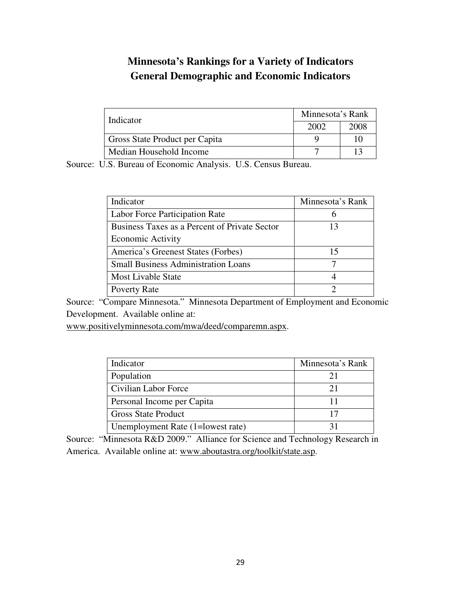## **Minnesota's Rankings for a Variety of Indicators General Demographic and Economic Indicators**

| Indicator                      | Minnesota's Rank |      |
|--------------------------------|------------------|------|
|                                | 2002             | 2008 |
| Gross State Product per Capita |                  |      |
| Median Household Income        |                  |      |

Source: U.S. Bureau of Economic Analysis. U.S. Census Bureau.

| Indicator                                     | Minnesota's Rank |
|-----------------------------------------------|------------------|
| Labor Force Participation Rate                |                  |
| Business Taxes as a Percent of Private Sector |                  |
| <b>Economic Activity</b>                      |                  |
| America's Greenest States (Forbes)            | 15               |
| <b>Small Business Administration Loans</b>    |                  |
| Most Livable State                            |                  |
| Poverty Rate                                  |                  |

Source: "Compare Minnesota." Minnesota Department of Employment and Economic Development. Available online at:

www.positivelyminnesota.com/mwa/deed/comparemn.aspx.

| Indicator                         | Minnesota's Rank |
|-----------------------------------|------------------|
| Population                        |                  |
| Civilian Labor Force              | 21               |
| Personal Income per Capita        |                  |
| <b>Gross State Product</b>        |                  |
| Unemployment Rate (1=lowest rate) |                  |

Source: "Minnesota R&D 2009." Alliance for Science and Technology Research in America. Available online at: www.aboutastra.org/toolkit/state.asp.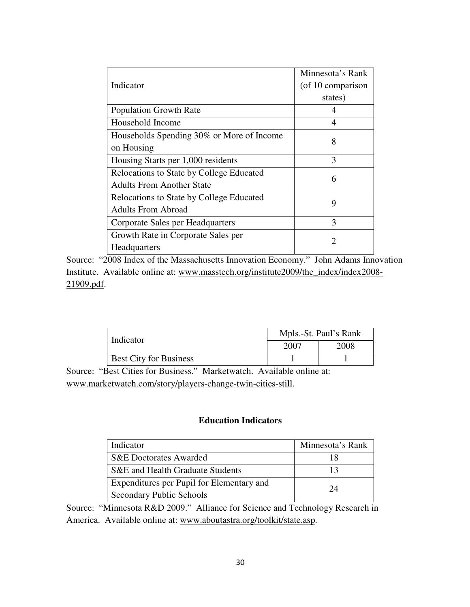|                                           | Minnesota's Rank  |  |
|-------------------------------------------|-------------------|--|
| Indicator                                 | (of 10 comparison |  |
|                                           | states)           |  |
| <b>Population Growth Rate</b>             | 4                 |  |
| Household Income                          | 4                 |  |
| Households Spending 30% or More of Income | 8                 |  |
| on Housing                                |                   |  |
| Housing Starts per 1,000 residents        | 3                 |  |
| Relocations to State by College Educated  | 6                 |  |
| Adults From Another State                 |                   |  |
| Relocations to State by College Educated  | 9                 |  |
| Adults From Abroad                        |                   |  |
| Corporate Sales per Headquarters          | 3                 |  |
| Growth Rate in Corporate Sales per        | 2                 |  |
| <b>Headquarters</b>                       |                   |  |

Source: "2008 Index of the Massachusetts Innovation Economy." John Adams Innovation Institute. Available online at: www.masstech.org/institute2009/the\_index/index2008- 21909.pdf.

| Indicator                     | Mpls.-St. Paul's Rank |      |  |
|-------------------------------|-----------------------|------|--|
|                               | 2007                  | 2008 |  |
| <b>Best City for Business</b> |                       |      |  |

Source: "Best Cities for Business." Marketwatch. Available online at: www.marketwatch.com/story/players-change-twin-cities-still.

#### **Education Indicators**

| Indicator                                 | Minnesota's Rank |
|-------------------------------------------|------------------|
| <b>S&amp;E Doctorates Awarded</b>         |                  |
| S&E and Health Graduate Students          |                  |
| Expenditures per Pupil for Elementary and | 74               |
| <b>Secondary Public Schools</b>           |                  |

Source: "Minnesota R&D 2009." Alliance for Science and Technology Research in America. Available online at: www.aboutastra.org/toolkit/state.asp.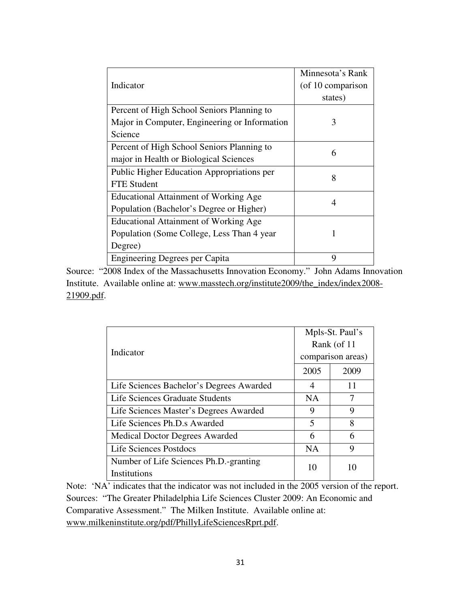|                                                   | Minnesota's Rank  |  |
|---------------------------------------------------|-------------------|--|
| Indicator                                         | (of 10 comparison |  |
|                                                   | states)           |  |
| Percent of High School Seniors Planning to        |                   |  |
| Major in Computer, Engineering or Information     | 3                 |  |
| Science                                           |                   |  |
| Percent of High School Seniors Planning to        | 6                 |  |
| major in Health or Biological Sciences            |                   |  |
| <b>Public Higher Education Appropriations per</b> | 8                 |  |
| <b>FTE</b> Student                                |                   |  |
| Educational Attainment of Working Age             | 4                 |  |
| Population (Bachelor's Degree or Higher)          |                   |  |
| Educational Attainment of Working Age             |                   |  |
| Population (Some College, Less Than 4 year)       |                   |  |
| Degree)                                           |                   |  |
| Engineering Degrees per Capita                    | Q                 |  |

Source: "2008 Index of the Massachusetts Innovation Economy." John Adams Innovation Institute. Available online at: www.masstech.org/institute2009/the\_index/index2008-21909.pdf.

|                                          | Mpls-St. Paul's |                   |
|------------------------------------------|-----------------|-------------------|
|                                          | Rank (of 11     |                   |
| Indicator                                |                 | comparison areas) |
|                                          | 2005            | 2009              |
| Life Sciences Bachelor's Degrees Awarded | 4               | 11                |
| Life Sciences Graduate Students          | <b>NA</b>       | 7                 |
| Life Sciences Master's Degrees Awarded   | 9               | 9                 |
| Life Sciences Ph.D.s Awarded             | 5               | 8                 |
| <b>Medical Doctor Degrees Awarded</b>    | 6               | 6                 |
| <b>Life Sciences Postdocs</b>            | <b>NA</b>       | 9                 |
| Number of Life Sciences Ph.D.-granting   | 10              |                   |
| Institutions                             |                 |                   |

Note: 'NA' indicates that the indicator was not included in the 2005 version of the report. Sources: "The Greater Philadelphia Life Sciences Cluster 2009: An Economic and Comparative Assessment." The Milken Institute. Available online at: www.milkeninstitute.org/pdf/PhillyLifeSciencesRprt.pdf.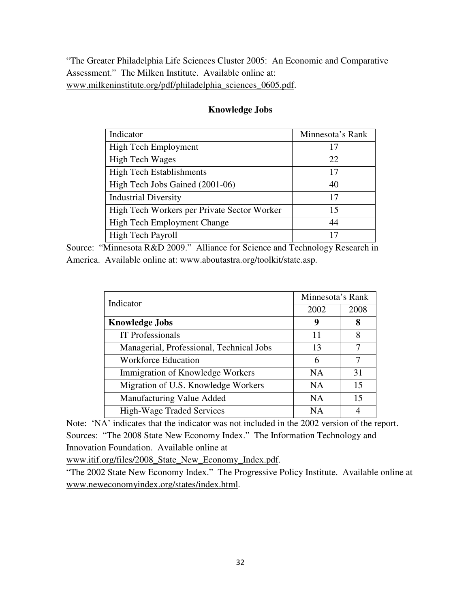"The Greater Philadelphia Life Sciences Cluster 2005: An Economic and Comparative Assessment." The Milken Institute. Available online at: www.milkeninstitute.org/pdf/philadelphia\_sciences\_0605.pdf.

| Indicator                                   | Minnesota's Rank |
|---------------------------------------------|------------------|
| High Tech Employment                        | 17               |
| <b>High Tech Wages</b>                      | 22               |
| <b>High Tech Establishments</b>             | 17               |
| High Tech Jobs Gained (2001-06)             | 40               |
| <b>Industrial Diversity</b>                 | 17               |
| High Tech Workers per Private Sector Worker | 15               |
| High Tech Employment Change                 | 44               |
| High Tech Payroll                           |                  |

#### **Knowledge Jobs**

Source: "Minnesota R&D 2009." Alliance for Science and Technology Research in America. Available online at: www.aboutastra.org/toolkit/state.asp.

| Indicator                                | Minnesota's Rank |      |
|------------------------------------------|------------------|------|
|                                          | 2002             | 2008 |
| <b>Knowledge Jobs</b>                    | 9                | 8    |
| <b>IT</b> Professionals                  | 11               | 8    |
| Managerial, Professional, Technical Jobs | 13               | 7    |
| <b>Workforce Education</b>               | 6                | 7    |
| Immigration of Knowledge Workers         | <b>NA</b>        | 31   |
| Migration of U.S. Knowledge Workers      | <b>NA</b>        | 15   |
| Manufacturing Value Added                | <b>NA</b>        | 15   |
| <b>High-Wage Traded Services</b>         | ΝA               |      |

Note: 'NA' indicates that the indicator was not included in the 2002 version of the report. Sources: "The 2008 State New Economy Index." The Information Technology and Innovation Foundation. Available online at

www.itif.org/files/2008\_State\_New\_Economy\_Index.pdf.

"The 2002 State New Economy Index." The Progressive Policy Institute. Available online at www.neweconomyindex.org/states/index.html.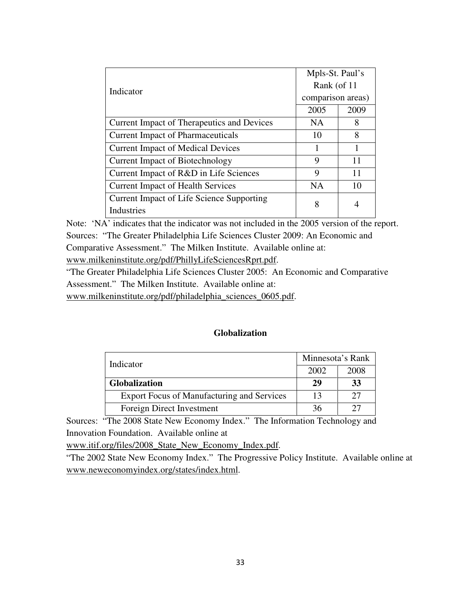|                                            | Mpls-St. Paul's   |      |
|--------------------------------------------|-------------------|------|
| Indicator                                  | Rank (of 11       |      |
|                                            | comparison areas) |      |
|                                            | 2005              | 2009 |
| Current Impact of Therapeutics and Devices | <b>NA</b>         | 8    |
| <b>Current Impact of Pharmaceuticals</b>   | 10                | 8    |
| <b>Current Impact of Medical Devices</b>   | 1                 |      |
| <b>Current Impact of Biotechnology</b>     | 9                 | 11   |
| Current Impact of R&D in Life Sciences     | 9                 | 11   |
| <b>Current Impact of Health Services</b>   | <b>NA</b>         | 10   |
| Current Impact of Life Science Supporting  | 8                 |      |
| Industries                                 |                   |      |

Note: 'NA' indicates that the indicator was not included in the 2005 version of the report. Sources: "The Greater Philadelphia Life Sciences Cluster 2009: An Economic and Comparative Assessment." The Milken Institute. Available online at: www.milkeninstitute.org/pdf/PhillyLifeSciencesRprt.pdf.

"The Greater Philadelphia Life Sciences Cluster 2005: An Economic and Comparative Assessment." The Milken Institute. Available online at: www.milkeninstitute.org/pdf/philadelphia\_sciences\_0605.pdf.

#### **Globalization**

| Indicator                                         | Minnesota's Rank |      |
|---------------------------------------------------|------------------|------|
|                                                   | 2002             | 2008 |
| <b>Globalization</b>                              | 29               | 33   |
| <b>Export Focus of Manufacturing and Services</b> | 13               | フフ   |
| Foreign Direct Investment                         | 36               |      |

Sources: "The 2008 State New Economy Index." The Information Technology and Innovation Foundation. Available online at

www.itif.org/files/2008\_State\_New\_Economy\_Index.pdf.

"The 2002 State New Economy Index." The Progressive Policy Institute. Available online at www.neweconomyindex.org/states/index.html.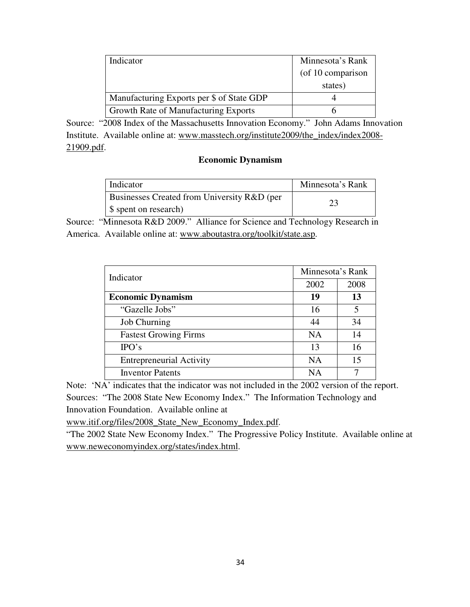| Indicator                                   | Minnesota's Rank  |  |
|---------------------------------------------|-------------------|--|
|                                             | (of 10 comparison |  |
|                                             | states)           |  |
| Manufacturing Exports per \$ of State GDP   |                   |  |
| <b>Growth Rate of Manufacturing Exports</b> |                   |  |

Source: "2008 Index of the Massachusetts Innovation Economy." John Adams Innovation Institute. Available online at: www.masstech.org/institute2009/the\_index/index2008- 21909.pdf.

#### **Economic Dynamism**

| Indicator                                   | Minnesota's Rank |
|---------------------------------------------|------------------|
| Businesses Created from University R&D (per |                  |
| \$ spent on research)                       |                  |

Source: "Minnesota R&D 2009." Alliance for Science and Technology Research in America. Available online at: www.aboutastra.org/toolkit/state.asp.

| Indicator                       | Minnesota's Rank |      |
|---------------------------------|------------------|------|
|                                 | 2002             | 2008 |
| <b>Economic Dynamism</b>        | 19               | 13   |
| "Gazelle Jobs"                  | 16               | 5    |
| <b>Job Churning</b>             | 44               | 34   |
| <b>Fastest Growing Firms</b>    | NA               | 14   |
| IPO's                           | 13               | 16   |
| <b>Entrepreneurial Activity</b> | NA               | 15   |
| <b>Inventor Patents</b>         | NA               |      |

Note: 'NA' indicates that the indicator was not included in the 2002 version of the report. Sources: "The 2008 State New Economy Index." The Information Technology and Innovation Foundation. Available online at

www.itif.org/files/2008\_State\_New\_Economy\_Index.pdf.

"The 2002 State New Economy Index." The Progressive Policy Institute. Available online at www.neweconomyindex.org/states/index.html.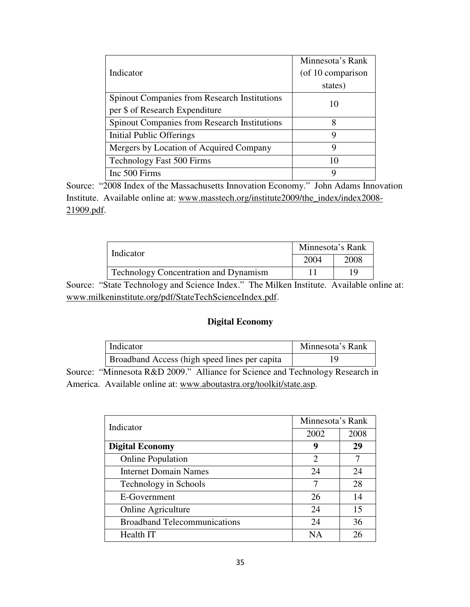|                                                     | Minnesota's Rank  |
|-----------------------------------------------------|-------------------|
| Indicator                                           | (of 10 comparison |
|                                                     | states)           |
| <b>Spinout Companies from Research Institutions</b> | 10                |
| per \$ of Research Expenditure                      |                   |
| Spinout Companies from Research Institutions        | 8                 |
| Initial Public Offerings                            | Q                 |
| Mergers by Location of Acquired Company             | 9                 |
| Technology Fast 500 Firms                           | 10                |
| Inc 500 Firms                                       |                   |

Source: "2008 Index of the Massachusetts Innovation Economy." John Adams Innovation Institute. Available online at: www.masstech.org/institute2009/the\_index/index2008- 21909.pdf.

| Indicator                                    | Minnesota's Rank |      |
|----------------------------------------------|------------------|------|
|                                              | 2004             | 2008 |
| <b>Technology Concentration and Dynamism</b> |                  |      |

Source: "State Technology and Science Index." The Milken Institute. Available online at: www.milkeninstitute.org/pdf/StateTechScienceIndex.pdf.

## **Digital Economy**

| Indicator                                     | Minnesota's Rank |
|-----------------------------------------------|------------------|
| Broadband Access (high speed lines per capita |                  |

Source: "Minnesota R&D 2009." Alliance for Science and Technology Research in America. Available online at: www.aboutastra.org/toolkit/state.asp.

| Indicator                           | Minnesota's Rank |      |  |
|-------------------------------------|------------------|------|--|
|                                     | 2002             | 2008 |  |
| <b>Digital Economy</b>              | 9                | 29   |  |
| <b>Online Population</b>            | $\overline{2}$   |      |  |
| <b>Internet Domain Names</b>        | 24               | 24   |  |
| Technology in Schools               | 7                | 28   |  |
| E-Government                        | 26               | 14   |  |
| <b>Online Agriculture</b>           | 24               | 15   |  |
| <b>Broadband Telecommunications</b> | 24               | 36   |  |
| Health IT                           | NΑ               | 26   |  |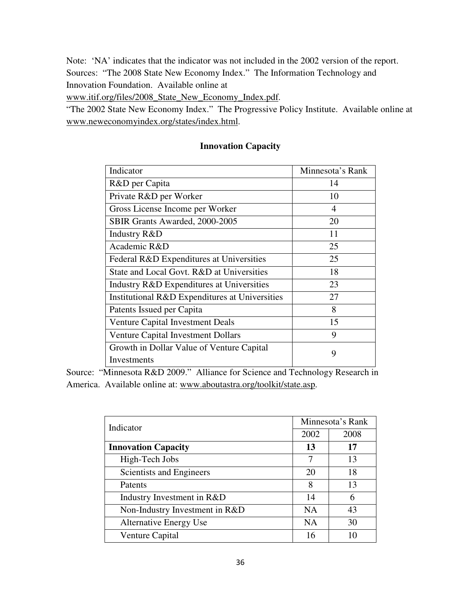Note: 'NA' indicates that the indicator was not included in the 2002 version of the report. Sources: "The 2008 State New Economy Index." The Information Technology and Innovation Foundation. Available online at

www.itif.org/files/2008\_State\_New\_Economy\_Index.pdf.

"The 2002 State New Economy Index." The Progressive Policy Institute. Available online at www.neweconomyindex.org/states/index.html.

| Indicator                                      | Minnesota's Rank |
|------------------------------------------------|------------------|
| R&D per Capita                                 | 14               |
| Private R&D per Worker                         | 10               |
| Gross License Income per Worker                | $\overline{4}$   |
| SBIR Grants Awarded, 2000-2005                 | 20               |
| Industry R&D                                   | 11               |
| Academic R&D                                   | 25               |
| Federal R&D Expenditures at Universities       | 25               |
| State and Local Govt. R&D at Universities      | 18               |
| Industry R&D Expenditures at Universities      | 23               |
| Institutional R&D Expenditures at Universities | 27               |
| Patents Issued per Capita                      | 8                |
| <b>Venture Capital Investment Deals</b>        | 15               |
| Venture Capital Investment Dollars             | 9                |
| Growth in Dollar Value of Venture Capital      | 9                |
| Investments                                    |                  |

## **Innovation Capacity**

Source: "Minnesota R&D 2009." Alliance for Science and Technology Research in America. Available online at: www.aboutastra.org/toolkit/state.asp.

| Indicator                      | Minnesota's Rank |      |  |
|--------------------------------|------------------|------|--|
|                                | 2002             | 2008 |  |
| <b>Innovation Capacity</b>     | 13               | 17   |  |
| High-Tech Jobs                 | 7                | 13   |  |
| Scientists and Engineers       | 20               | 18   |  |
| Patents                        | 8                | 13   |  |
| Industry Investment in R&D     | 14               | 6    |  |
| Non-Industry Investment in R&D | <b>NA</b>        | 43   |  |
| <b>Alternative Energy Use</b>  | <b>NA</b>        | 30   |  |
| Venture Capital                | 16               | 10   |  |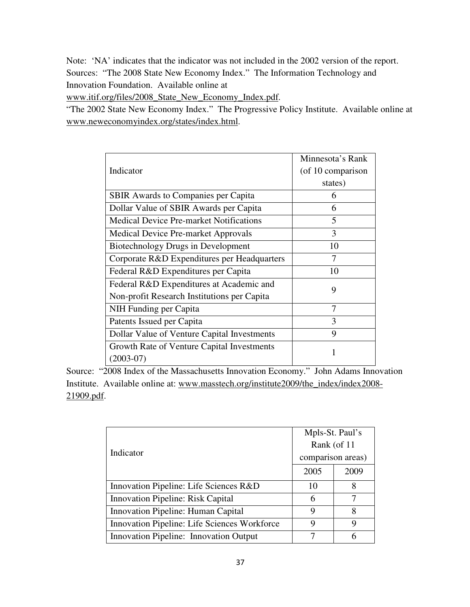Note: 'NA' indicates that the indicator was not included in the 2002 version of the report. Sources: "The 2008 State New Economy Index." The Information Technology and Innovation Foundation. Available online at

www.itif.org/files/2008\_State\_New\_Economy\_Index.pdf.

"The 2002 State New Economy Index." The Progressive Policy Institute. Available online at www.neweconomyindex.org/states/index.html.

|                                                  | Minnesota's Rank  |  |  |  |
|--------------------------------------------------|-------------------|--|--|--|
| Indicator                                        | (of 10 comparison |  |  |  |
|                                                  | states)           |  |  |  |
| <b>SBIR</b> Awards to Companies per Capita       | 6                 |  |  |  |
| Dollar Value of SBIR Awards per Capita           | 6                 |  |  |  |
| <b>Medical Device Pre-market Notifications</b>   | 5                 |  |  |  |
| Medical Device Pre-market Approvals              | 3                 |  |  |  |
| Biotechnology Drugs in Development               | 10                |  |  |  |
| Corporate R&D Expenditures per Headquarters      |                   |  |  |  |
| Federal R&D Expenditures per Capita              | 10                |  |  |  |
| Federal R&D Expenditures at Academic and         |                   |  |  |  |
| 9<br>Non-profit Research Institutions per Capita |                   |  |  |  |
| NIH Funding per Capita                           | 7                 |  |  |  |
| Patents Issued per Capita                        | 3                 |  |  |  |
| Dollar Value of Venture Capital Investments      | 9                 |  |  |  |
| Growth Rate of Venture Capital Investments       | 1                 |  |  |  |
| $(2003-07)$                                      |                   |  |  |  |

Source: "2008 Index of the Massachusetts Innovation Economy." John Adams Innovation Institute. Available online at: www.masstech.org/institute2009/the\_index/index2008- 21909.pdf.

| Indicator                                    | Mpls-St. Paul's<br>Rank (of 11<br>comparison areas) |      |
|----------------------------------------------|-----------------------------------------------------|------|
|                                              | 2005                                                | 2009 |
| Innovation Pipeline: Life Sciences R&D       | 10                                                  | 8    |
| <b>Innovation Pipeline: Risk Capital</b>     | 6                                                   |      |
| Innovation Pipeline: Human Capital           | Q                                                   | 8    |
| Innovation Pipeline: Life Sciences Workforce | Q                                                   |      |
| Innovation Pipeline: Innovation Output       |                                                     |      |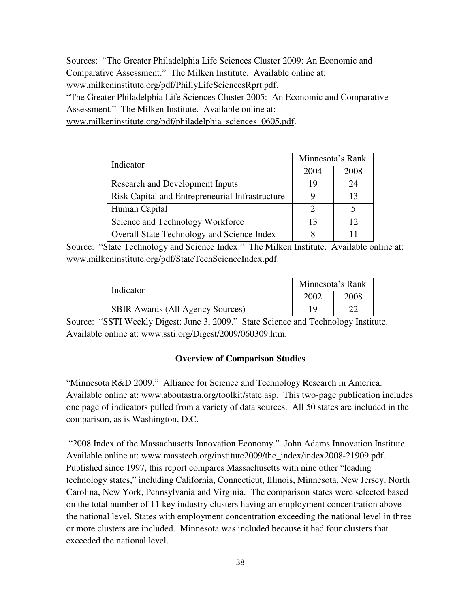Sources: "The Greater Philadelphia Life Sciences Cluster 2009: An Economic and Comparative Assessment." The Milken Institute. Available online at: www.milkeninstitute.org/pdf/PhillyLifeSciencesRprt.pdf.

"The Greater Philadelphia Life Sciences Cluster 2005: An Economic and Comparative Assessment." The Milken Institute. Available online at:

www.milkeninstitute.org/pdf/philadelphia\_sciences\_0605.pdf.

| Indicator                                         | Minnesota's Rank                                                                                                                                                                                                                                                                                                                                                                                                                                                                    |      |  |
|---------------------------------------------------|-------------------------------------------------------------------------------------------------------------------------------------------------------------------------------------------------------------------------------------------------------------------------------------------------------------------------------------------------------------------------------------------------------------------------------------------------------------------------------------|------|--|
|                                                   | 2004                                                                                                                                                                                                                                                                                                                                                                                                                                                                                | 2008 |  |
| Research and Development Inputs                   | 19                                                                                                                                                                                                                                                                                                                                                                                                                                                                                  | 24   |  |
| Risk Capital and Entrepreneurial Infrastructure   |                                                                                                                                                                                                                                                                                                                                                                                                                                                                                     | 13   |  |
| Human Capital                                     | $\mathcal{D}_{\mathcal{A}}^{\mathcal{A}}(\mathcal{A}) = \mathcal{D}_{\mathcal{A}}^{\mathcal{A}}(\mathcal{A}) = \mathcal{D}_{\mathcal{A}}^{\mathcal{A}}(\mathcal{A}) = \mathcal{D}_{\mathcal{A}}^{\mathcal{A}}(\mathcal{A}) = \mathcal{D}_{\mathcal{A}}^{\mathcal{A}}(\mathcal{A}) = \mathcal{D}_{\mathcal{A}}^{\mathcal{A}}(\mathcal{A}) = \mathcal{D}_{\mathcal{A}}^{\mathcal{A}}(\mathcal{A}) = \mathcal{D}_{\mathcal{A}}^{\mathcal{A}}(\mathcal{A}) = \mathcal{D}_{\mathcal{A}}$ |      |  |
| Science and Technology Workforce                  | 13                                                                                                                                                                                                                                                                                                                                                                                                                                                                                  | 12   |  |
| <b>Overall State Technology and Science Index</b> |                                                                                                                                                                                                                                                                                                                                                                                                                                                                                     |      |  |

Source: "State Technology and Science Index." The Milken Institute. Available online at: www.milkeninstitute.org/pdf/StateTechScienceIndex.pdf.

| Indicator                               | Minnesota's Rank |      |  |
|-----------------------------------------|------------------|------|--|
|                                         | 2002             | 2008 |  |
| <b>SBIR Awards (All Agency Sources)</b> | 19               | nn   |  |

Source: "SSTI Weekly Digest: June 3, 2009." State Science and Technology Institute. Available online at: www.ssti.org/Digest/2009/060309.htm.

#### **Overview of Comparison Studies**

"Minnesota R&D 2009." Alliance for Science and Technology Research in America. Available online at: www.aboutastra.org/toolkit/state.asp. This two-page publication includes one page of indicators pulled from a variety of data sources. All 50 states are included in the comparison, as is Washington, D.C.

 "2008 Index of the Massachusetts Innovation Economy." John Adams Innovation Institute. Available online at: www.masstech.org/institute2009/the\_index/index2008-21909.pdf. Published since 1997, this report compares Massachusetts with nine other "leading technology states," including California, Connecticut, Illinois, Minnesota, New Jersey, North Carolina, New York, Pennsylvania and Virginia. The comparison states were selected based on the total number of 11 key industry clusters having an employment concentration above the national level. States with employment concentration exceeding the national level in three or more clusters are included. Minnesota was included because it had four clusters that exceeded the national level.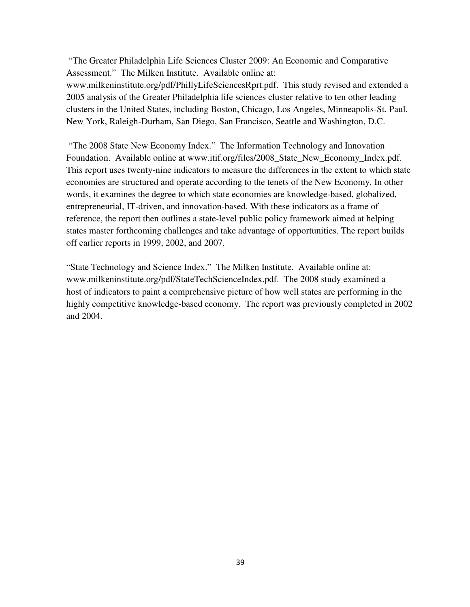"The Greater Philadelphia Life Sciences Cluster 2009: An Economic and Comparative Assessment." The Milken Institute. Available online at:

www.milkeninstitute.org/pdf/PhillyLifeSciencesRprt.pdf. This study revised and extended a 2005 analysis of the Greater Philadelphia life sciences cluster relative to ten other leading clusters in the United States, including Boston, Chicago, Los Angeles, Minneapolis-St. Paul, New York, Raleigh-Durham, San Diego, San Francisco, Seattle and Washington, D.C.

 "The 2008 State New Economy Index." The Information Technology and Innovation Foundation. Available online at www.itif.org/files/2008 State New Economy Index.pdf. This report uses twenty-nine indicators to measure the differences in the extent to which state economies are structured and operate according to the tenets of the New Economy. In other words, it examines the degree to which state economies are knowledge-based, globalized, entrepreneurial, IT-driven, and innovation-based. With these indicators as a frame of reference, the report then outlines a state-level public policy framework aimed at helping states master forthcoming challenges and take advantage of opportunities. The report builds off earlier reports in 1999, 2002, and 2007.

"State Technology and Science Index." The Milken Institute. Available online at: www.milkeninstitute.org/pdf/StateTechScienceIndex.pdf. The 2008 study examined a host of indicators to paint a comprehensive picture of how well states are performing in the highly competitive knowledge-based economy. The report was previously completed in 2002 and 2004.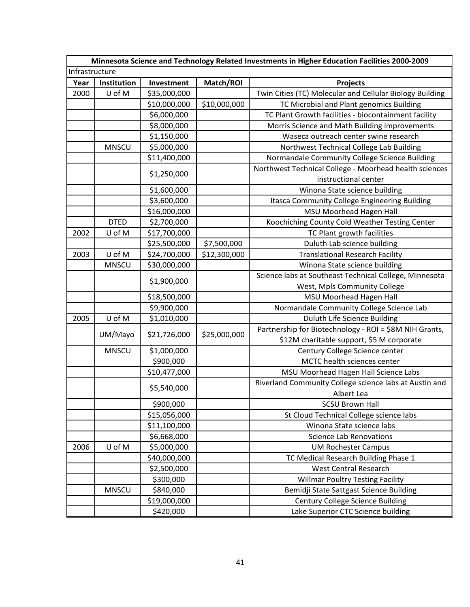| Minnesota Science and Technology Related Investments in Higher Education Facilities 2000-2009 |                |              |              |                                                                                                     |  |
|-----------------------------------------------------------------------------------------------|----------------|--------------|--------------|-----------------------------------------------------------------------------------------------------|--|
|                                                                                               | Infrastructure |              |              |                                                                                                     |  |
| Year                                                                                          | Institution    | Investment   | Match/ROI    | Projects                                                                                            |  |
| 2000                                                                                          | U of M         | \$35,000,000 |              | Twin Cities (TC) Molecular and Cellular Biology Building                                            |  |
|                                                                                               |                | \$10,000,000 | \$10,000,000 | TC Microbial and Plant genomics Building                                                            |  |
|                                                                                               |                | \$6,000,000  |              | TC Plant Growth facilities - biocontainment facility                                                |  |
|                                                                                               |                | \$8,000,000  |              | Morris Science and Math Building improvements                                                       |  |
|                                                                                               |                | \$1,150,000  |              | Waseca outreach center swine research                                                               |  |
|                                                                                               | <b>MNSCU</b>   | \$5,000,000  |              | Northwest Technical College Lab Building                                                            |  |
|                                                                                               |                | \$11,400,000 |              | Normandale Community College Science Building                                                       |  |
|                                                                                               |                | \$1,250,000  |              | Northwest Technical College - Moorhead health sciences<br>instructional center                      |  |
|                                                                                               |                | \$1,600,000  |              | Winona State science building                                                                       |  |
|                                                                                               |                | \$3,600,000  |              | Itasca Community College Engineering Building                                                       |  |
|                                                                                               |                | \$16,000,000 |              | MSU Moorhead Hagen Hall                                                                             |  |
|                                                                                               | <b>DTED</b>    | \$2,700,000  |              | Koochiching County Cold Weather Testing Center                                                      |  |
| 2002                                                                                          | U of M         | \$17,700,000 |              | TC Plant growth facilities                                                                          |  |
|                                                                                               |                | \$25,500,000 | \$7,500,000  | Duluth Lab science building                                                                         |  |
| 2003                                                                                          | U of M         | \$24,700,000 | \$12,300,000 | <b>Translational Research Facility</b>                                                              |  |
|                                                                                               | <b>MNSCU</b>   | \$30,000,000 |              | Winona State science building                                                                       |  |
|                                                                                               |                |              |              | Science labs at Southeast Technical College, Minnesota                                              |  |
|                                                                                               |                | \$1,900,000  |              | West, Mpls Community College                                                                        |  |
|                                                                                               |                | \$18,500,000 |              | MSU Moorhead Hagen Hall                                                                             |  |
|                                                                                               |                | \$9,900,000  |              | Normandale Community College Science Lab                                                            |  |
| 2005                                                                                          | U of M         | \$1,010,000  |              | Duluth Life Science Building                                                                        |  |
|                                                                                               | UM/Mayo        | \$21,726,000 | \$25,000,000 | Partnership for Biotechnology - ROI = \$8M NIH Grants,<br>\$12M charitable support, \$5 M corporate |  |
|                                                                                               | <b>MNSCU</b>   | \$1,000,000  |              | Century College Science center                                                                      |  |
|                                                                                               |                | \$900,000    |              | MCTC health sciences center                                                                         |  |
|                                                                                               |                | \$10,477,000 |              | MSU Moorhead Hagen Hall Science Labs                                                                |  |
|                                                                                               |                | \$5,540,000  |              | Riverland Community College science labs at Austin and<br>Albert Lea                                |  |
|                                                                                               |                | \$900,000    |              | <b>SCSU Brown Hall</b>                                                                              |  |
|                                                                                               |                | \$15,056,000 |              | St Cloud Technical College science labs                                                             |  |
|                                                                                               |                | \$11,100,000 |              | Winona State science labs                                                                           |  |
|                                                                                               |                | \$6,668,000  |              | <b>Science Lab Renovations</b>                                                                      |  |
| 2006                                                                                          | U of M         | \$5,000,000  |              | <b>UM Rochester Campus</b>                                                                          |  |
|                                                                                               |                | \$40,000,000 |              | TC Medical Research Building Phase 1                                                                |  |
|                                                                                               |                | \$2,500,000  |              | West Central Research                                                                               |  |
|                                                                                               |                | \$300,000    |              | <b>Willmar Poultry Testing Facility</b>                                                             |  |
|                                                                                               | <b>MNSCU</b>   | \$840,000    |              | Bemidji State Sattgast Science Building                                                             |  |
|                                                                                               |                | \$19,000,000 |              | Century College Science Building                                                                    |  |
|                                                                                               |                | \$420,000    |              | Lake Superior CTC Science building                                                                  |  |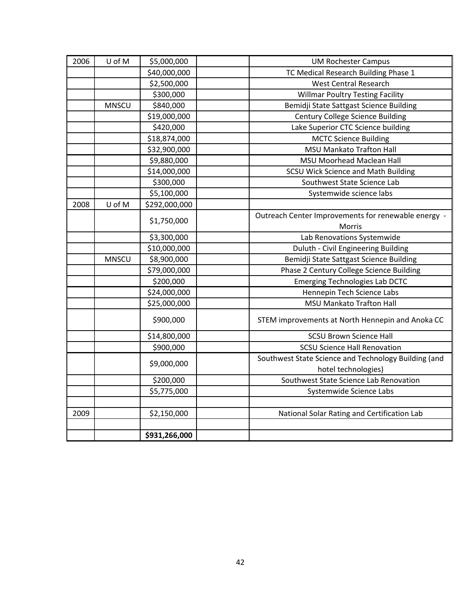| 2006 | U of M       | \$5,000,000   | <b>UM Rochester Campus</b>                           |
|------|--------------|---------------|------------------------------------------------------|
|      |              | \$40,000,000  | TC Medical Research Building Phase 1                 |
|      |              | \$2,500,000   | <b>West Central Research</b>                         |
|      |              | \$300,000     | <b>Willmar Poultry Testing Facility</b>              |
|      | <b>MNSCU</b> | \$840,000     | Bemidji State Sattgast Science Building              |
|      |              | \$19,000,000  | <b>Century College Science Building</b>              |
|      |              | \$420,000     | Lake Superior CTC Science building                   |
|      |              | \$18,874,000  | <b>MCTC Science Building</b>                         |
|      |              | \$32,900,000  | <b>MSU Mankato Trafton Hall</b>                      |
|      |              | \$9,880,000   | <b>MSU Moorhead Maclean Hall</b>                     |
|      |              | \$14,000,000  | <b>SCSU Wick Science and Math Building</b>           |
|      |              | \$300,000     | Southwest State Science Lab                          |
|      |              | \$5,100,000   | Systemwide science labs                              |
| 2008 | U of M       | \$292,000,000 |                                                      |
|      |              | \$1,750,000   | Outreach Center Improvements for renewable energy -  |
|      |              |               | Morris                                               |
|      |              | \$3,300,000   | Lab Renovations Systemwide                           |
|      |              | \$10,000,000  | Duluth - Civil Engineering Building                  |
|      | <b>MNSCU</b> | \$8,900,000   | Bemidji State Sattgast Science Building              |
|      |              | \$79,000,000  | Phase 2 Century College Science Building             |
|      |              | \$200,000     | <b>Emerging Technologies Lab DCTC</b>                |
|      |              | \$24,000,000  | Hennepin Tech Science Labs                           |
|      |              | \$25,000,000  | <b>MSU Mankato Trafton Hall</b>                      |
|      |              | \$900,000     | STEM improvements at North Hennepin and Anoka CC     |
|      |              | \$14,800,000  | <b>SCSU Brown Science Hall</b>                       |
|      |              | \$900,000     | <b>SCSU Science Hall Renovation</b>                  |
|      |              | \$9,000,000   | Southwest State Science and Technology Building (and |
|      |              |               | hotel technologies)                                  |
|      |              | \$200,000     | Southwest State Science Lab Renovation               |
|      |              | \$5,775,000   | Systemwide Science Labs                              |
|      |              |               |                                                      |
| 2009 |              | \$2,150,000   | National Solar Rating and Certification Lab          |
|      |              |               |                                                      |
|      |              | \$931,266,000 |                                                      |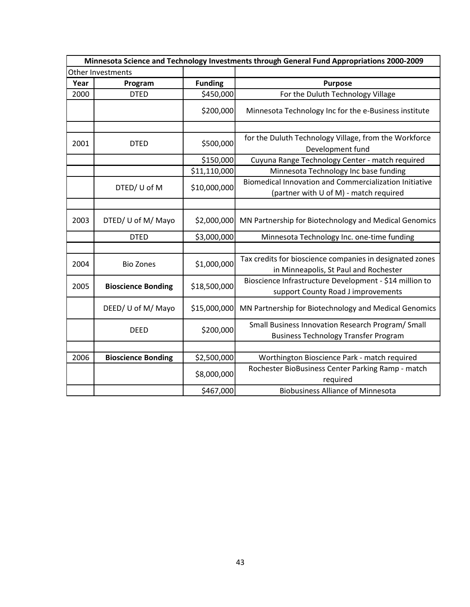| Minnesota Science and Technology Investments through General Fund Appropriations 2000-2009 |                           |                |                                                                                                   |  |  |  |
|--------------------------------------------------------------------------------------------|---------------------------|----------------|---------------------------------------------------------------------------------------------------|--|--|--|
| <b>Other Investments</b>                                                                   |                           |                |                                                                                                   |  |  |  |
| Year                                                                                       | Program                   | <b>Funding</b> | <b>Purpose</b>                                                                                    |  |  |  |
| 2000                                                                                       | <b>DTED</b>               | \$450,000      | For the Duluth Technology Village                                                                 |  |  |  |
|                                                                                            |                           | \$200,000      | Minnesota Technology Inc for the e-Business institute                                             |  |  |  |
|                                                                                            |                           |                |                                                                                                   |  |  |  |
| 2001                                                                                       | <b>DTED</b>               | \$500,000      | for the Duluth Technology Village, from the Workforce<br>Development fund                         |  |  |  |
|                                                                                            |                           | \$150,000      | Cuyuna Range Technology Center - match required                                                   |  |  |  |
|                                                                                            |                           | \$11,110,000   | Minnesota Technology Inc base funding                                                             |  |  |  |
|                                                                                            | DTED/ U of M              | \$10,000,000   | Biomedical Innovation and Commercialization Initiative<br>(partner with U of M) - match required  |  |  |  |
|                                                                                            |                           |                |                                                                                                   |  |  |  |
| 2003                                                                                       | DTED/ U of M/ Mayo        | \$2,000,000    | MN Partnership for Biotechnology and Medical Genomics                                             |  |  |  |
|                                                                                            | <b>DTED</b>               | \$3,000,000    | Minnesota Technology Inc. one-time funding                                                        |  |  |  |
|                                                                                            |                           |                |                                                                                                   |  |  |  |
| 2004                                                                                       | <b>Bio Zones</b>          | \$1,000,000    | Tax credits for bioscience companies in designated zones<br>in Minneapolis, St Paul and Rochester |  |  |  |
| 2005                                                                                       | <b>Bioscience Bonding</b> | \$18,500,000   | Bioscience Infrastructure Development - \$14 million to<br>support County Road J improvements     |  |  |  |
|                                                                                            | DEED/ U of M/ Mayo        | \$15,000,000   | MN Partnership for Biotechnology and Medical Genomics                                             |  |  |  |
|                                                                                            | <b>DEED</b>               | \$200,000      | Small Business Innovation Research Program/ Small<br><b>Business Technology Transfer Program</b>  |  |  |  |
|                                                                                            |                           |                |                                                                                                   |  |  |  |
| 2006                                                                                       | <b>Bioscience Bonding</b> | \$2,500,000    | Worthington Bioscience Park - match required                                                      |  |  |  |
|                                                                                            |                           | \$8,000,000    | Rochester BioBusiness Center Parking Ramp - match<br>required                                     |  |  |  |
|                                                                                            |                           | \$467,000      | <b>Biobusiness Alliance of Minnesota</b>                                                          |  |  |  |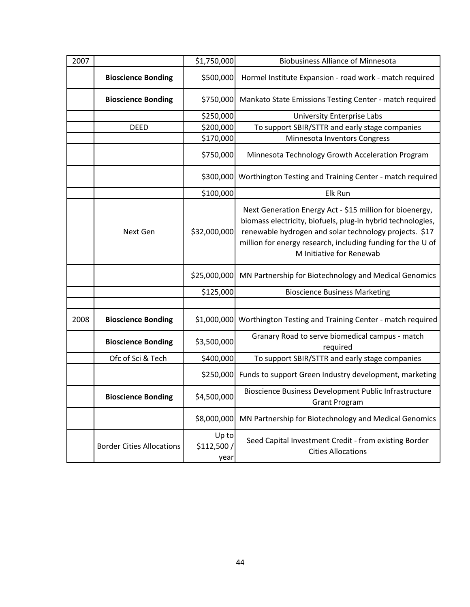| 2007 |                                  | \$1,750,000                 | <b>Biobusiness Alliance of Minnesota</b>                                                                                                                                                                                                                                     |
|------|----------------------------------|-----------------------------|------------------------------------------------------------------------------------------------------------------------------------------------------------------------------------------------------------------------------------------------------------------------------|
|      | <b>Bioscience Bonding</b>        | \$500,000                   | Hormel Institute Expansion - road work - match required                                                                                                                                                                                                                      |
|      | <b>Bioscience Bonding</b>        | \$750,000                   | Mankato State Emissions Testing Center - match required                                                                                                                                                                                                                      |
|      |                                  | \$250,000                   | <b>University Enterprise Labs</b>                                                                                                                                                                                                                                            |
|      | <b>DEED</b>                      | \$200,000                   | To support SBIR/STTR and early stage companies                                                                                                                                                                                                                               |
|      |                                  | \$170,000                   | Minnesota Inventors Congress                                                                                                                                                                                                                                                 |
|      |                                  | \$750,000                   | Minnesota Technology Growth Acceleration Program                                                                                                                                                                                                                             |
|      |                                  | \$300,000                   | Worthington Testing and Training Center - match required                                                                                                                                                                                                                     |
|      |                                  | \$100,000                   | Elk Run                                                                                                                                                                                                                                                                      |
|      | Next Gen                         | \$32,000,000                | Next Generation Energy Act - \$15 million for bioenergy,<br>biomass electricity, biofuels, plug-in hybrid technologies,<br>renewable hydrogen and solar technology projects. \$17<br>million for energy research, including funding for the U of<br>M Initiative for Renewab |
|      |                                  | \$25,000,000                | MN Partnership for Biotechnology and Medical Genomics                                                                                                                                                                                                                        |
|      |                                  | \$125,000                   | <b>Bioscience Business Marketing</b>                                                                                                                                                                                                                                         |
|      |                                  |                             |                                                                                                                                                                                                                                                                              |
| 2008 | <b>Bioscience Bonding</b>        |                             | \$1,000,000 Worthington Testing and Training Center - match required                                                                                                                                                                                                         |
|      | <b>Bioscience Bonding</b>        | \$3,500,000                 | Granary Road to serve biomedical campus - match<br>required                                                                                                                                                                                                                  |
|      | Ofc of Sci & Tech                | \$400,000                   | To support SBIR/STTR and early stage companies                                                                                                                                                                                                                               |
|      |                                  | \$250,000                   | Funds to support Green Industry development, marketing                                                                                                                                                                                                                       |
|      | <b>Bioscience Bonding</b>        | \$4,500,000                 | Bioscience Business Development Public Infrastructure<br><b>Grant Program</b>                                                                                                                                                                                                |
|      |                                  | \$8,000,000                 | MN Partnership for Biotechnology and Medical Genomics                                                                                                                                                                                                                        |
|      | <b>Border Cities Allocations</b> | Up to<br>\$112,500/<br>year | Seed Capital Investment Credit - from existing Border<br><b>Cities Allocations</b>                                                                                                                                                                                           |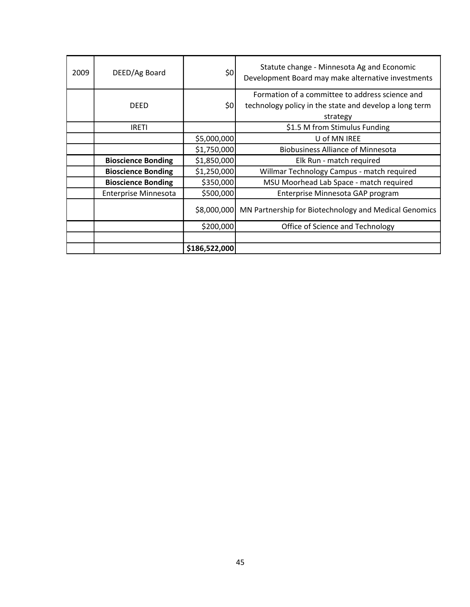| 2009 | DEED/Ag Board               | \$0           | Statute change - Minnesota Ag and Economic<br>Development Board may make alternative investments                      |
|------|-----------------------------|---------------|-----------------------------------------------------------------------------------------------------------------------|
|      | <b>DEED</b>                 | \$0           | Formation of a committee to address science and<br>technology policy in the state and develop a long term<br>strategy |
|      | <b>IRETI</b>                |               | \$1.5 M from Stimulus Funding                                                                                         |
|      |                             | \$5,000,000   | U of MN IREE                                                                                                          |
|      |                             | \$1,750,000   | <b>Biobusiness Alliance of Minnesota</b>                                                                              |
|      | <b>Bioscience Bonding</b>   | \$1,850,000   | Elk Run - match required                                                                                              |
|      | <b>Bioscience Bonding</b>   | \$1,250,000   | Willmar Technology Campus - match required                                                                            |
|      | <b>Bioscience Bonding</b>   | \$350,000     | MSU Moorhead Lab Space - match required                                                                               |
|      | <b>Enterprise Minnesota</b> | \$500,000     | Enterprise Minnesota GAP program                                                                                      |
|      |                             | \$8,000,000   | MN Partnership for Biotechnology and Medical Genomics                                                                 |
|      |                             | \$200,000     | Office of Science and Technology                                                                                      |
|      |                             |               |                                                                                                                       |
|      |                             | \$186,522,000 |                                                                                                                       |